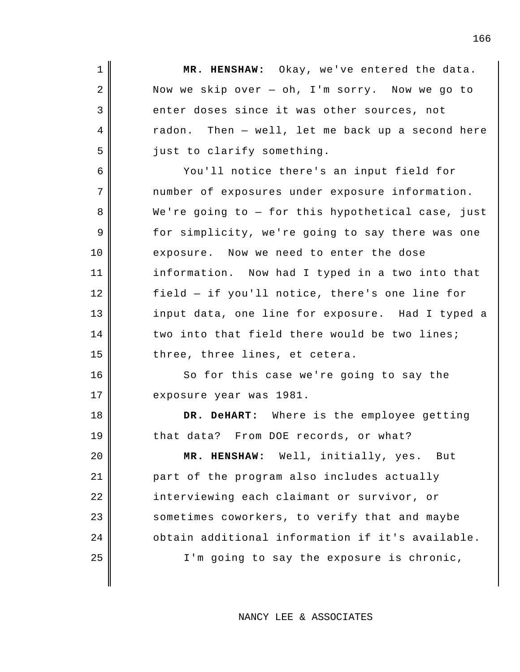1 **MR. HENSHAW:** Okay, we've entered the data. 2 Now we skip over - oh, I'm sorry. Now we go to 4 radon. 5 just to clarify something. 10 exposure. Now we need to enter the dose 11 information. Now had I typed in a two into that 13 input data, one line for exposure. Had I typed a enter doses since it was other sources, not Then  $-$  well, let me back up a second here You'll notice there's an input field for number of exposures under exposure information. We're going to — for this hypothetical case, just for simplicity, we're going to say there was one field — if you'll notice, there's one line for two into that field there would be two lines; three, three lines, et cetera.

3

6

7

8

9

12

14

15

16

17

21

22

23

24

25

So for this case we're going to say the exposure year was 1981.

18 DR. DeHART: 19 that data? From DOE records, or what? Where is the employee getting

20 **MR. HENSHAW:** Well, initially, yes. But part of the program also includes actually interviewing each claimant or survivor, or sometimes coworkers, to verify that and maybe obtain additional information if it's available. I'm going to say the exposure is chronic,

NANCY LEE & ASSOCIATES

166

 $\overline{\phantom{a}}$ 

 $\overline{\phantom{a}}$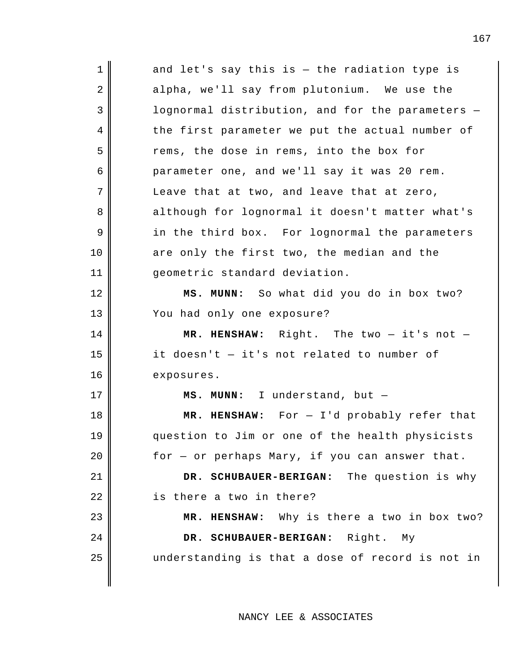| 1  | and let's say this is - the radiation type is    |
|----|--------------------------------------------------|
| 2  | alpha, we'll say from plutonium. We use the      |
| 3  | lognormal distribution, and for the parameters - |
| 4  | the first parameter we put the actual number of  |
| 5  | rems, the dose in rems, into the box for         |
| 6  | parameter one, and we'll say it was 20 rem.      |
| 7  | Leave that at two, and leave that at zero,       |
| 8  | although for lognormal it doesn't matter what's  |
| 9  | in the third box. For lognormal the parameters   |
| 10 | are only the first two, the median and the       |
| 11 | geometric standard deviation.                    |
| 12 | MS. MUNN: So what did you do in box two?         |
| 13 | You had only one exposure?                       |
| 14 | MR. HENSHAW: Right. The two $-$ it's not $-$     |
|    |                                                  |
| 15 | it doesn't - it's not related to number of       |
| 16 | exposures.                                       |
| 17 | MS. MUNN: I understand, but -                    |
| 18 | MR. HENSHAW: For - I'd probably refer that       |
| 19 | question to Jim or one of the health physicists  |
| 20 | for - or perhaps Mary, if you can answer that.   |
| 21 | DR. SCHUBAUER-BERIGAN: The question is why       |
| 22 | is there a two in there?                         |
| 23 | MR. HENSHAW: Why is there a two in box two?      |
| 24 | DR. SCHUBAUER-BERIGAN: Right. My                 |
| 25 | understanding is that a dose of record is not in |

NANCY LEE & ASSOCIATES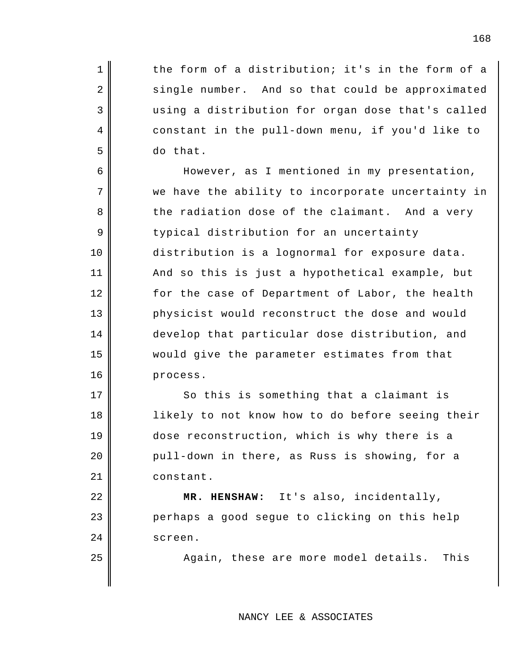2 single number. And so that could be approximated 5 do that. the form of a distribution; it's in the form of a using a distribution for organ dose that's called constant in the pull-down menu, if you'd like to

1

3

4

6

7

9

10

11

12

13

14

15

17

18

19

20

21

8 the radiation dose of the claimant. And a very 16 process. However, as I mentioned in my presentation, we have the ability to incorporate uncertainty in typical distribution for an uncertainty distribution is a lognormal for exposure data. And so this is just a hypothetical example, but for the case of Department of Labor, the health physicist would reconstruct the dose and would develop that particular dose distribution, and would give the parameter estimates from that

> So this is something that a claimant is likely to not know how to do before seeing their dose reconstruction, which is why there is a pull-down in there, as Russ is showing, for a constant.

22 **MR. HENSHAW:** It's also, incidentally, 23 24 perhaps a good segue to clicking on this help screen.

25 Again, these are more model details. This

NANCY LEE & ASSOCIATES

168

H

 $\overline{\phantom{a}}$ 

 $\overline{\phantom{a}}$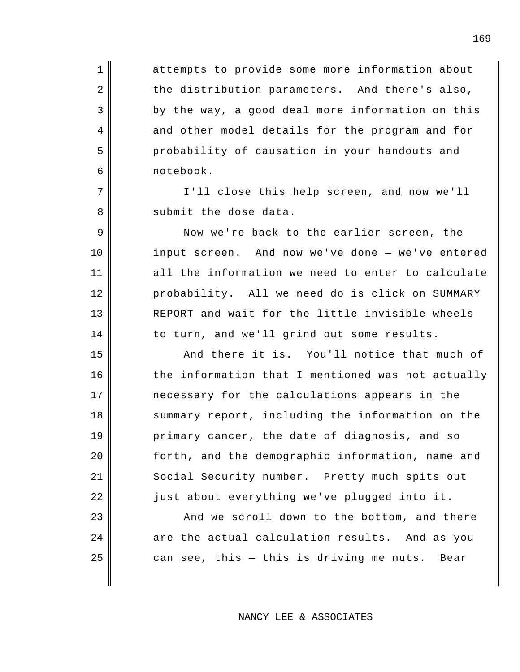2 | the distribution parameters. And there's also, attempts to provide some more information about by the way, a good deal more information on this and other model details for the program and for probability of causation in your handouts and notebook.

1

3

4

5

6

7

8

9

11

13

14

16

17

18

19

20

23

I'll close this help screen, and now we'll submit the dose data.

10 l input screen. 12 probability. All we need do is click on SUMMARY Now we're back to the earlier screen, the And now we've done  $-$  we've entered all the information we need to enter to calculate REPORT and wait for the little invisible wheels to turn, and we'll grind out some results.

15 And there it is. You'll notice that much of 21 Social Security number. Pretty much spits out 22 just about everything we've plugged into it. the information that I mentioned was not actually necessary for the calculations appears in the summary report, including the information on the primary cancer, the date of diagnosis, and so forth, and the demographic information, name and

24 are the actual calculation results. And as you 25 can see, this — this is driving me nuts. Bear And we scroll down to the bottom, and there

## NANCY LEE & ASSOCIATES

169

 $\overline{\phantom{a}}$ 

 $\overline{\phantom{a}}$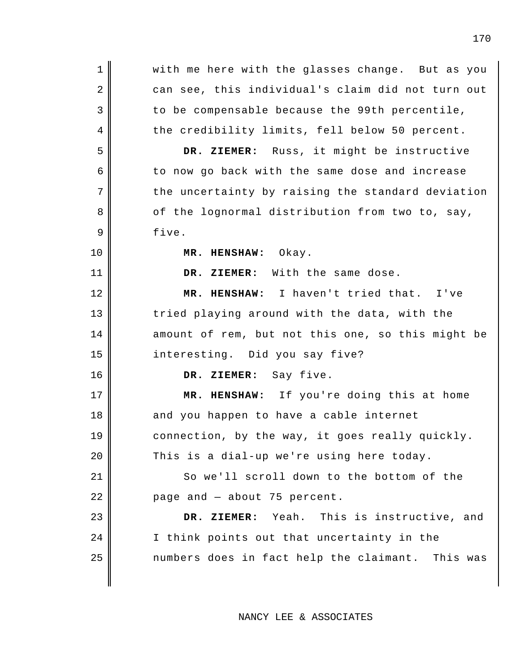| $\mathbf 1$ | with me here with the glasses change. But as you  |
|-------------|---------------------------------------------------|
| 2           | can see, this individual's claim did not turn out |
| 3           | to be compensable because the 99th percentile,    |
| 4           | the credibility limits, fell below 50 percent.    |
| 5           | DR. ZIEMER: Russ, it might be instructive         |
| 6           | to now go back with the same dose and increase    |
| 7           | the uncertainty by raising the standard deviation |
| 8           | of the lognormal distribution from two to, say,   |
| 9           | five.                                             |
| 10          | MR. HENSHAW: Okay.                                |
| 11          | DR. ZIEMER: With the same dose.                   |
| 12          | MR. HENSHAW: I haven't tried that. I've           |
| 13          | tried playing around with the data, with the      |
| 14          | amount of rem, but not this one, so this might be |
| 15          | interesting. Did you say five?                    |
| 16          | DR. ZIEMER: Say five.                             |
| 17          | MR. HENSHAW: If you're doing this at home         |
| 18          | and you happen to have a cable internet           |
| 19          | connection, by the way, it goes really quickly.   |
| 20          | This is a dial-up we're using here today.         |
| 21          | So we'll scroll down to the bottom of the         |
| 22          | page and - about 75 percent.                      |
| 23          | DR. ZIEMER: Yeah. This is instructive, and        |
| 24          | I think points out that uncertainty in the        |
| 25          | numbers does in fact help the claimant. This was  |
|             |                                                   |

NANCY LEE & ASSOCIATES

170

 $\overline{\phantom{a}}$ 

 $\overline{\phantom{a}}$ 

 $\overline{\phantom{a}}$ 

 $\overline{\phantom{a}}$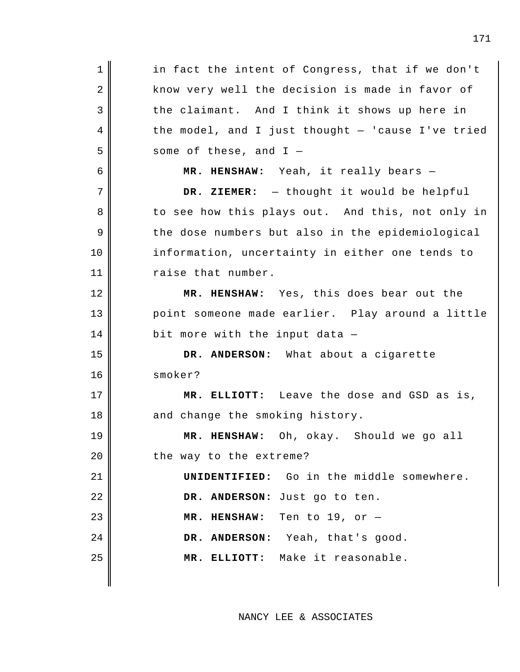1 2 3 the claimant. And I think it shows up here in 4 5 6 **MR. HENSHAW:** Yeah, it really bears — 7 **DR. ZIEMER:** — thought it would be helpful 8 to see how this plays out. And this, not only in 9 10 11 12 **MR. HENSHAW:** Yes, this does bear out the 13 point someone made earlier. Play around a little 14 15 **DR. ANDERSON:** What about a cigarette 16 17 **MR. ELLIOTT:** Leave the dose and GSD as is, 18 19 **MR. HENSHAW:** Oh, okay. Should we go all 20 21 **UNIDENTIFIED:** Go in the middle somewhere. 22 23 NR. HENSHAW: 24 **DR. ANDERSON:** Yeah, that's good. 25 **MR. ELLIOTT:** Make it reasonable. in fact the intent of Congress, that if we don't know very well the decision is made in favor of the model, and I just thought — 'cause I've tried some of these, and  $I$ the dose numbers but also in the epidemiological information, uncertainty in either one tends to raise that number. bit more with the input data smoker? and change the smoking history. the way to the extreme? **DR. ANDERSON:** Just go to ten. Ten to 19, or -

NANCY LEE & ASSOCIATES

 $\overline{\phantom{a}}$ 

 $\overline{\phantom{a}}$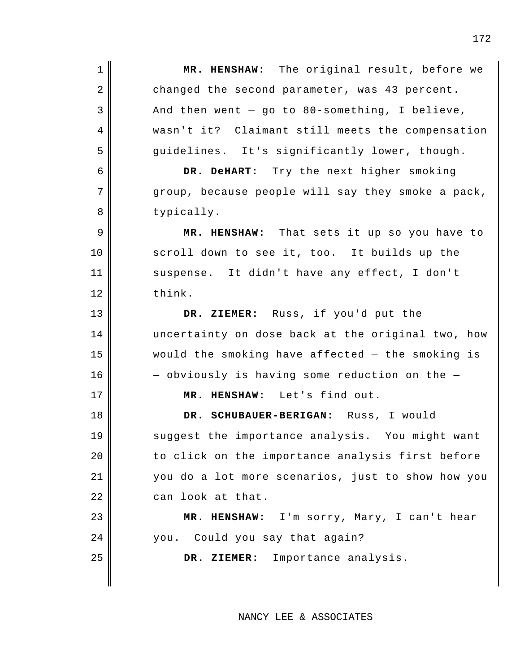1 || MR. HENSHAW: 2 3 4 wasn't it? Claimant still meets the compensation 5 guidelines. It's significantly lower, though. 6 **| DR. DeHART:** 7 8 9 MR. HENSHAW: 10 scroll down to see it, too. It builds up the 11 suspense. It didn't have any effect, I don't 12 13 DR. ZIEMER: 14 15 16 17 **MR. HENSHAW:** Let's find out. 18 **DR. SCHUBAUER-BERIGAN:** Russ, I would 19 suggest the importance analysis. You might want 20 21 22 23 **MR. HENSHAW:** I'm sorry, Mary, I can't hear 24 you. Could you say that again? 25 **| DR. ZIEMER:** The original result, before we changed the second parameter, was 43 percent. And then went  $-$  go to 80-something, I believe, Try the next higher smoking group, because people will say they smoke a pack, typically. That sets it up so you have to think. Russ, if you'd put the uncertainty on dose back at the original two, how would the smoking have affected — the smoking is — obviously is having some reduction on the to click on the importance analysis first before you do a lot more scenarios, just to show how you can look at that. Importance analysis.

NANCY LEE & ASSOCIATES

 $\overline{\phantom{a}}$ 

 $\overline{\phantom{a}}$ 

 $\overline{\phantom{a}}$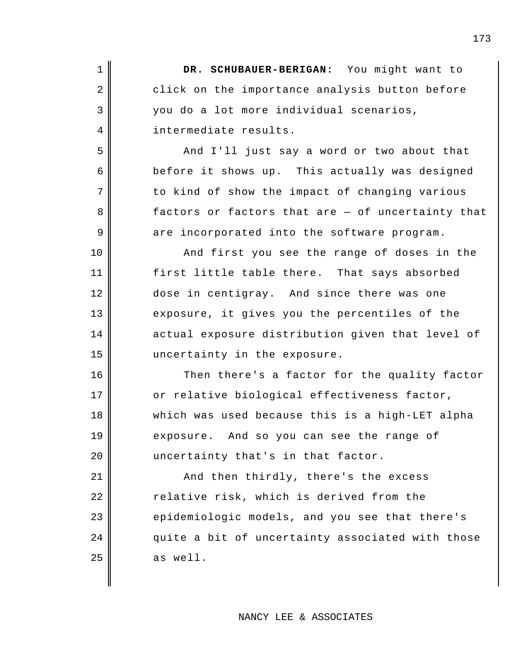| $\mathbf 1$ | DR. SCHUBAUER-BERIGAN: You might want to          |
|-------------|---------------------------------------------------|
| 2           | click on the importance analysis button before    |
| 3           | you do a lot more individual scenarios,           |
| 4           | intermediate results.                             |
| 5           | And I'll just say a word or two about that        |
| 6           | before it shows up. This actually was designed    |
| 7           | to kind of show the impact of changing various    |
| 8           | factors or factors that are - of uncertainty that |
| 9           | are incorporated into the software program.       |
| 10          | And first you see the range of doses in the       |
| 11          | first little table there. That says absorbed      |
| 12          | dose in centigray. And since there was one        |
| 13          | exposure, it gives you the percentiles of the     |
| 14          | actual exposure distribution given that level of  |
| 15          | uncertainty in the exposure.                      |
| 16          | Then there's a factor for the quality factor      |
| 17          | or relative biological effectiveness factor,      |
| 18          | which was used because this is a high-LET alpha   |
| 19          | exposure. And so you can see the range of         |
| 20          | uncertainty that's in that factor.                |
| 21          | And then thirdly, there's the excess              |
| 22          | relative risk, which is derived from the          |
| 23          | epidemiologic models, and you see that there's    |
| 24          | quite a bit of uncertainty associated with those  |
| 25          | as well.                                          |
|             |                                                   |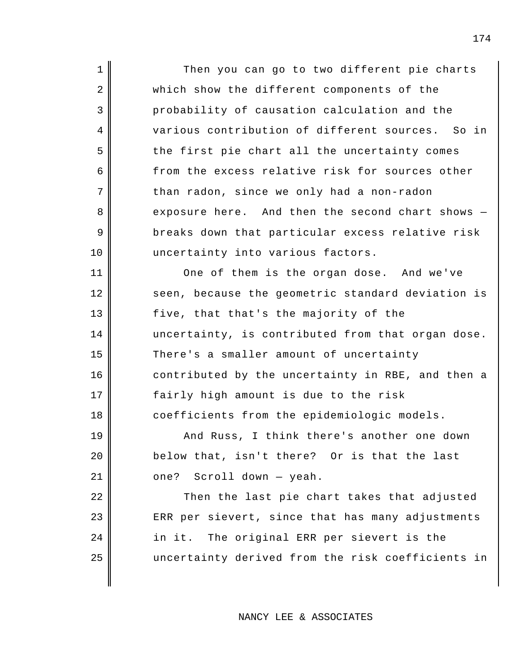1 2 3 4 various contribution of different sources. So in 5 6 7 8 exposure here. And then the second chart shows -9 10 11 One of them is the organ dose. And we've 12 13 14 15 16 17 18 19 20 below that, isn't there? Or is that the last  $21$  one? 22 23 Then you can go to two different pie charts which show the different components of the probability of causation calculation and the the first pie chart all the uncertainty comes from the excess relative risk for sources other than radon, since we only had a non-radon breaks down that particular excess relative risk uncertainty into various factors. seen, because the geometric standard deviation is five, that that's the majority of the uncertainty, is contributed from that organ dose. There's a smaller amount of uncertainty contributed by the uncertainty in RBE, and then a fairly high amount is due to the risk coefficients from the epidemiologic models. And Russ, I think there's another one down Scroll down  $-$  yeah. Then the last pie chart takes that adjusted ERR per sievert, since that has many adjustments

uncertainty derived from the risk coefficients in

The original ERR per sievert is the

 $24$   $\parallel$  in it.

25

NANCY LEE & ASSOCIATES

 $\overline{\phantom{a}}$ 

 $\overline{\phantom{a}}$ 

 $\overline{\phantom{a}}$ 

 $\overline{\phantom{a}}$ 

 $\overline{\phantom{a}}$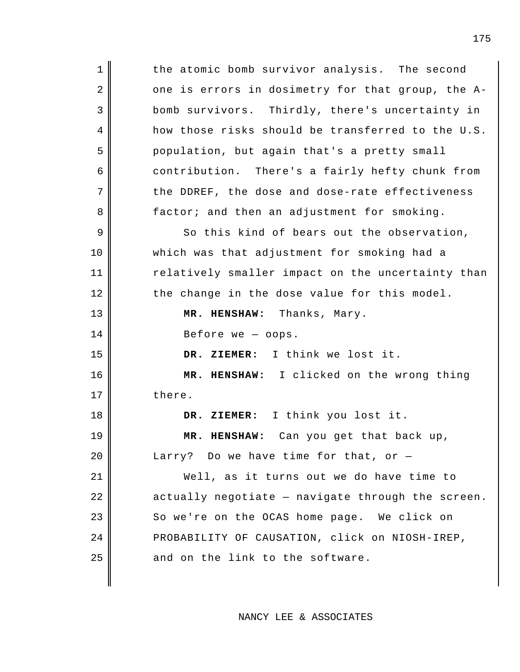1 | the atomic bomb survivor analysis. The second 2 3 bomb survivors. Thirdly, there's uncertainty in 4 5 6 contribution. 7 8 9 10 11 12 13 MR. HENSHAW: 14 15 **DR. ZIEMER:** 16 **MR. HENSHAW:** I clicked on the wrong thing 17 18 DR. ZIEMER: 19 **MR. HENSHAW:** Can you get that back up, 20 Larry? Do we have time for that, or — 21 22 23 So we're on the OCAS home page. We click on 24 25 one is errors in dosimetry for that group, the Ahow those risks should be transferred to the U.S. population, but again that's a pretty small There's a fairly hefty chunk from the DDREF, the dose and dose-rate effectiveness factor; and then an adjustment for smoking. So this kind of bears out the observation, which was that adjustment for smoking had a relatively smaller impact on the uncertainty than the change in the dose value for this model. Thanks, Mary. Before we — oops. I think we lost it. there. I think you lost it. Well, as it turns out we do have time to actually negotiate — navigate through the screen. PROBABILITY OF CAUSATION, click on NIOSH-IREP, and on the link to the software.

NANCY LEE & ASSOCIATES

 $\overline{\phantom{a}}$ 

 $\overline{\phantom{a}}$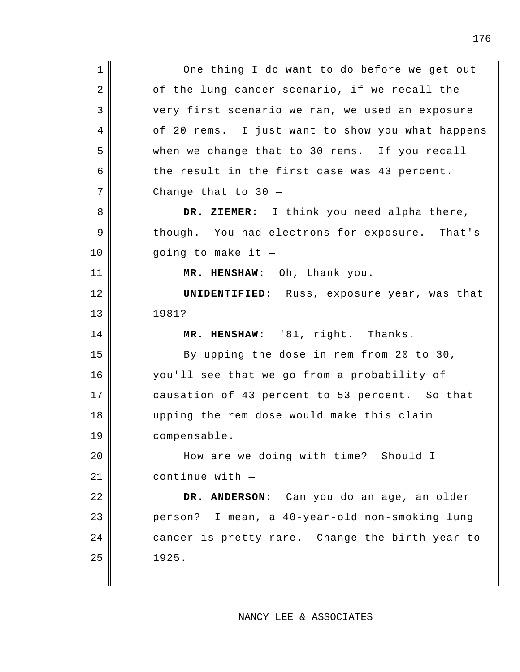1 2 3 4 of 20 rems. I just want to show you what happens 5 when we change that to 30 rems. If you recall 6 7 8 **DR. ZIEMER:** I think you need alpha there,  $9 \parallel$  though. 10 11 **MR. HENSHAW:** Oh, thank you. 12 **UNIDENTIFIED:** Russ, exposure year, was that 13 14 **MR. HENSHAW:** '81, right. Thanks. 15 16 17 causation of 43 percent to 53 percent. So that 18 19 20 How are we doing with time? Should I 21 22 **DR. ANDERSON:** Can you do an age, an older 23 person? I mean, a 40-year-old non-smoking lung 24 cancer is pretty rare. Change the birth year to 25 One thing I do want to do before we get out of the lung cancer scenario, if we recall the very first scenario we ran, we used an exposure the result in the first case was 43 percent. Change that to 30 — You had electrons for exposure. That's going to make it — 1981? By upping the dose in rem from 20 to 30, you'll see that we go from a probability of upping the rem dose would make this claim compensable. continue with — 1925.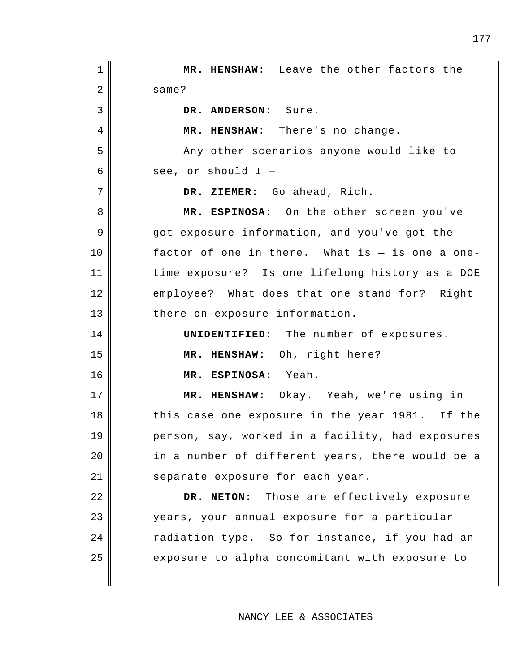1 || MR. HENSHAW:  **DR. ANDERSON:** Sure. **|| THE MR. HENSHAW: DR. ZIEMER:** Go ahead, Rich.  **MR. ESPINOSA:** On the other screen you've factor of one in there. What is — is one a one- time exposure? Is one lifelong history as a DOE employee? What does that one stand for? Right  **UNIDENTIFIED:** The number of exposures.  **MR. HENSHAW:** Oh, right here?  **MR. ESPINOSA:** Yeah.  **MR. HENSHAW:** Okay. Yeah, we're using in this case one exposure in the year 1981. If the **DR. NETON:** Those are effectively exposure 24 | Tadiation type. So for instance, if you had an Leave the other factors the same? There's no change. Any other scenarios anyone would like to see, or should I got exposure information, and you've got the there on exposure information. person, say, worked in a facility, had exposures in a number of different years, there would be a separate exposure for each year. years, your annual exposure for a particular exposure to alpha concomitant with exposure to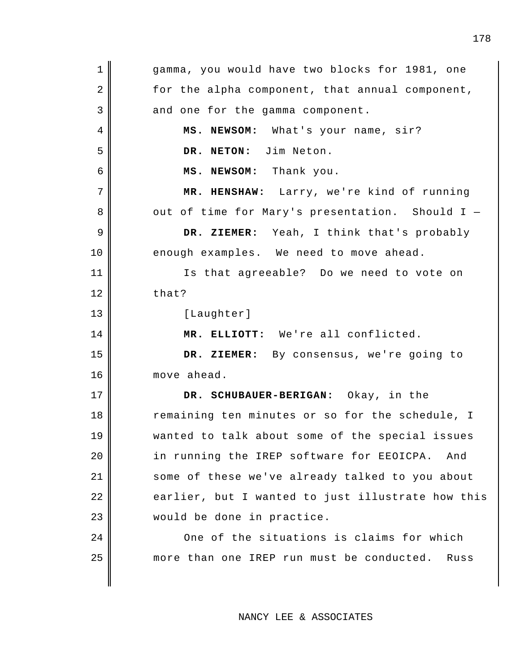1 2 3 4 **MS. NEWSOM:** What's your name, sir? 5 **DR. NETON:** Jim Neton. 6 **MS. NEWSOM:** Thank you. 7 MR. HENSHAW: 8 out of time for Mary's presentation. Should I -9 **DR. ZIEMER:** Yeah, I think that's probably 10 enough examples. We need to move ahead. 11 Is that agreeable? Do we need to vote on 12 13 14 **MR. ELLIOTT:** We're all conflicted. 15 **DR. ZIEMER:** By consensus, we're going to 16 17 **DR. SCHUBAUER-BERIGAN:** Okay, in the 18 19 20 in running the IREP software for EEOICPA. And 21 22 23 24 25 more than one IREP run must be conducted. Russ gamma, you would have two blocks for 1981, one for the alpha component, that annual component, and one for the gamma component. Larry, we're kind of running that? [Laughter] move ahead. remaining ten minutes or so for the schedule, I wanted to talk about some of the special issues some of these we've already talked to you about earlier, but I wanted to just illustrate how this would be done in practice. One of the situations is claims for which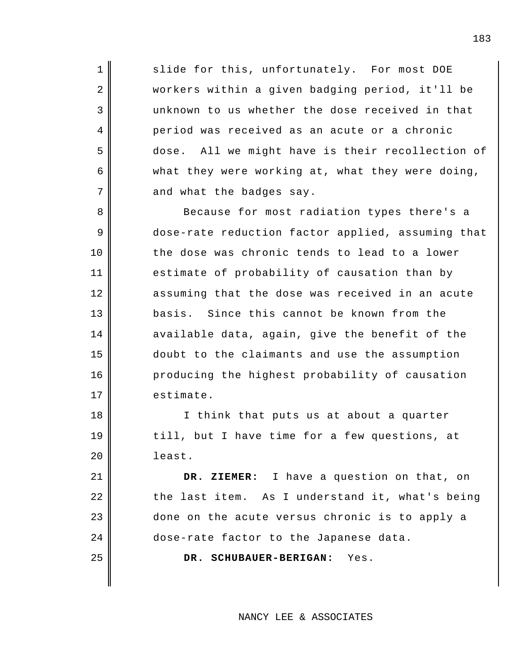1 slide for this, unfortunately. For most DOE 5 dose. All we might have is their recollection of workers within a given badging period, it'll be unknown to us whether the dose received in that period was received as an acute or a chronic what they were working at, what they were doing, and what the badges say.

2

3

4

6

7

8

9

10

11

12

14

15

16

17

18

19

20

23

24

 $13$  basis. Because for most radiation types there's a dose-rate reduction factor applied, assuming that the dose was chronic tends to lead to a lower estimate of probability of causation than by assuming that the dose was received in an acute Since this cannot be known from the available data, again, give the benefit of the doubt to the claimants and use the assumption producing the highest probability of causation estimate.

I think that puts us at about a quarter till, but I have time for a few questions, at least.

21 DR. ZIEMER: 22 | the last item. As I understand it, what's being I have a question on that, on done on the acute versus chronic is to apply a dose-rate factor to the Japanese data.

25 **| DR. SCHUBAUER-BERIGAN:** Yes.

NANCY LEE & ASSOCIATES

183

 $\overline{\phantom{a}}$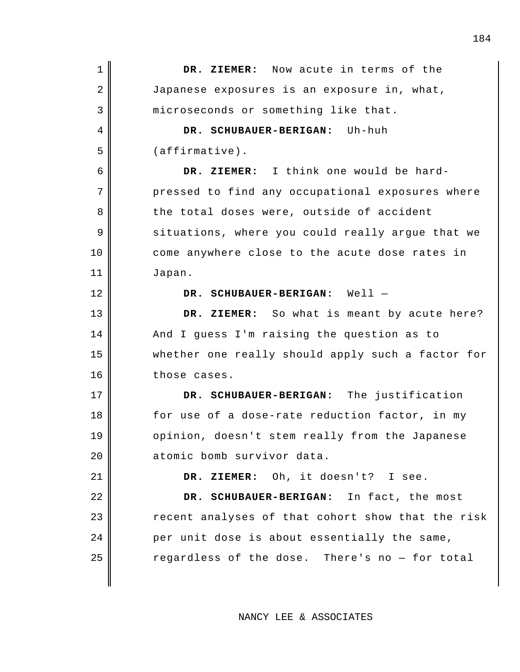| 1              | DR. ZIEMER: Now acute in terms of the             |
|----------------|---------------------------------------------------|
| $\overline{2}$ | Japanese exposures is an exposure in, what,       |
| 3              | microseconds or something like that.              |
| 4              | DR. SCHUBAUER-BERIGAN: Uh-huh                     |
| 5              | $(affirmative)$ .                                 |
| 6              | DR. ZIEMER: I think one would be hard-            |
| 7              | pressed to find any occupational exposures where  |
| 8              | the total doses were, outside of accident         |
| 9              | situations, where you could really argue that we  |
| 10             | come anywhere close to the acute dose rates in    |
| 11             | Japan.                                            |
| 12             | DR. SCHUBAUER-BERIGAN: Well -                     |
| 13             | DR. ZIEMER: So what is meant by acute here?       |
| 14             | And I guess I'm raising the question as to        |
| 15             | whether one really should apply such a factor for |
| 16             | those cases.                                      |
| 17             | DR. SCHUBAUER-BERIGAN: The justification          |
| 18             | for use of a dose-rate reduction factor, in my    |
| 19             | opinion, doesn't stem really from the Japanese    |
| 20             | atomic bomb survivor data.                        |
| 21             | DR. ZIEMER: Oh, it doesn't? I see.                |
| 22             | DR. SCHUBAUER-BERIGAN: In fact, the most          |
| 23             | recent analyses of that cohort show that the risk |
| 24             | per unit dose is about essentially the same,      |
| 25             | regardless of the dose. There's no - for total    |
|                |                                                   |

 $\overline{\phantom{a}}$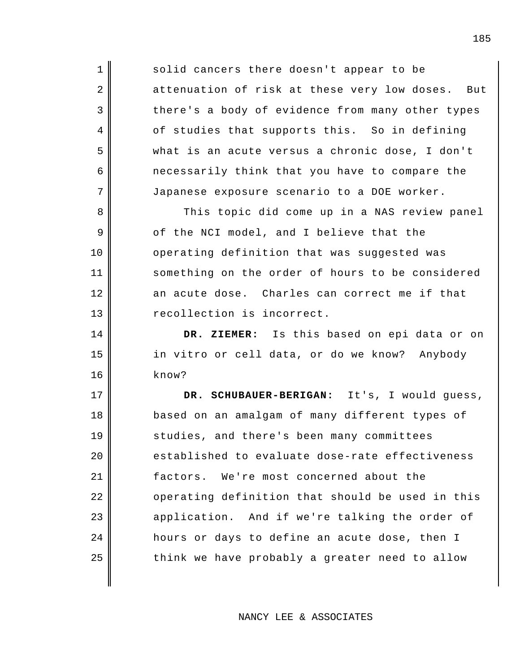2 attenuation of risk at these very low doses. But 4 of studies that supports this. So in defining solid cancers there doesn't appear to be there's a body of evidence from many other types what is an acute versus a chronic dose, I don't necessarily think that you have to compare the Japanese exposure scenario to a DOE worker.

1

3

5

6

7

8

9

10

11

13

16

12 an acute dose. Charles can correct me if that This topic did come up in a NAS review panel of the NCI model, and I believe that the operating definition that was suggested was something on the order of hours to be considered recollection is incorrect.

14 **DR. ZIEMER:** Is this based on epi data or on 15 in vitro or cell data, or do we know? Anybody know?

17 **DR. SCHUBAUER-BERIGAN:** It's, I would guess, 18 19 20 21 factors. 22 23 application. And if we're talking the order of 24 25 based on an amalgam of many different types of studies, and there's been many committees established to evaluate dose-rate effectiveness We're most concerned about the operating definition that should be used in this hours or days to define an acute dose, then I think we have probably a greater need to allow

NANCY LEE & ASSOCIATES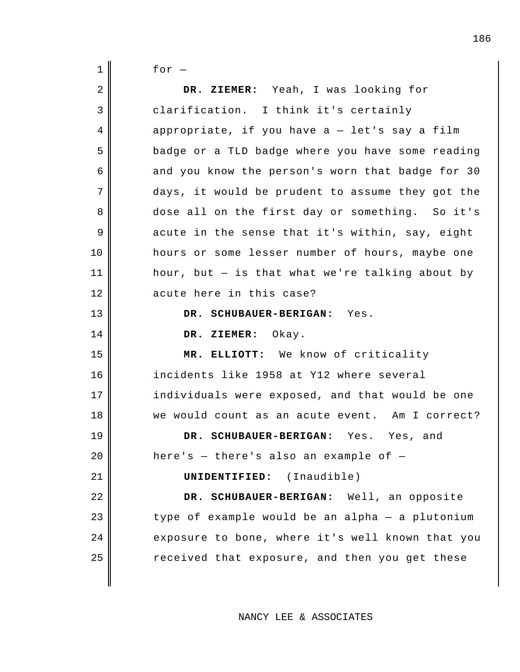1 || for –

| $\overline{2}$ | DR. ZIEMER: Yeah, I was looking for               |
|----------------|---------------------------------------------------|
| 3              | clarification. I think it's certainly             |
| 4              | appropriate, if you have a - let's say a film     |
| 5              | badge or a TLD badge where you have some reading  |
| 6              | and you know the person's worn that badge for 30  |
| 7              | days, it would be prudent to assume they got the  |
| 8              | dose all on the first day or something. So it's   |
| 9              | acute in the sense that it's within, say, eight   |
| 10             | hours or some lesser number of hours, maybe one   |
| 11             | hour, but $-$ is that what we're talking about by |
| 12             | acute here in this case?                          |
| 13             | DR. SCHUBAUER-BERIGAN: Yes.                       |
| 14             | DR. ZIEMER: Okay.                                 |
| 15             | MR. ELLIOTT: We know of criticality               |
| 16             | incidents like 1958 at Y12 where several          |
| 17             | individuals were exposed, and that would be one   |
| 18             | we would count as an acute event. Am I correct?   |
| 19             | DR. SCHUBAUER-BERIGAN: Yes. Yes, and              |
| 20             | here's $-$ there's also an example of $-$         |
| 21             | UNIDENTIFIED: (Inaudible)                         |
| 22             | DR. SCHUBAUER-BERIGAN: Well, an opposite          |
| 23             | type of example would be an alpha - a plutonium   |
| 24             | exposure to bone, where it's well known that you  |
| 25             | received that exposure, and then you get these    |
|                |                                                   |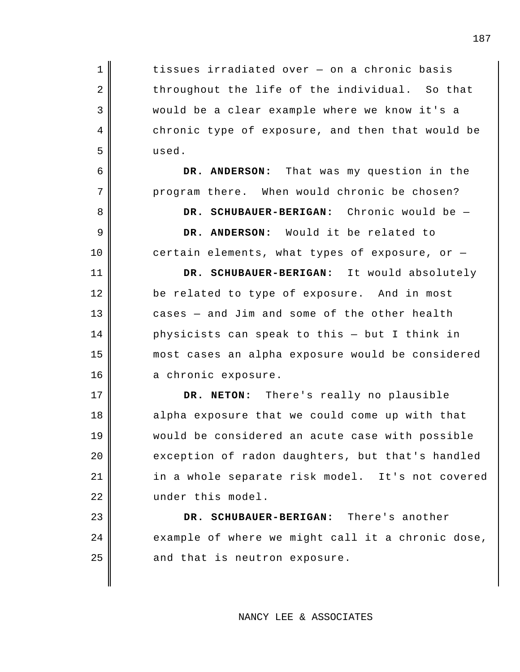2 | throughout the life of the individual. So that tissues irradiated over — on a chronic basis would be a clear example where we know it's a chronic type of exposure, and then that would be used.

1

3

4

5

10

13

14

15

16

18

19

20

22

24

25

6 **DR. ANDERSON:** 7 program there. When would chronic be chosen? That was my question in the

8 **DR. SCHUBAUER-BERIGAN:** Chronic would be  $-$ 9 **DR. ANDERSON:** Would it be related to

certain elements, what types of exposure, or  $-$ 

11 **DR. SCHUBAUER-BERIGAN:** It would absolutely 12 be related to type of exposure. And in most cases — and Jim and some of the other health physicists can speak to this — but I think in most cases an alpha exposure would be considered a chronic exposure.

17 **DR. NETON:** There's really no plausible 21 in a whole separate risk model. It's not covered alpha exposure that we could come up with that would be considered an acute case with possible exception of radon daughters, but that's handled under this model.

23 **DR. SCHUBAUER-BERIGAN:** There's another example of where we might call it a chronic dose, and that is neutron exposure.

 $\overline{\phantom{a}}$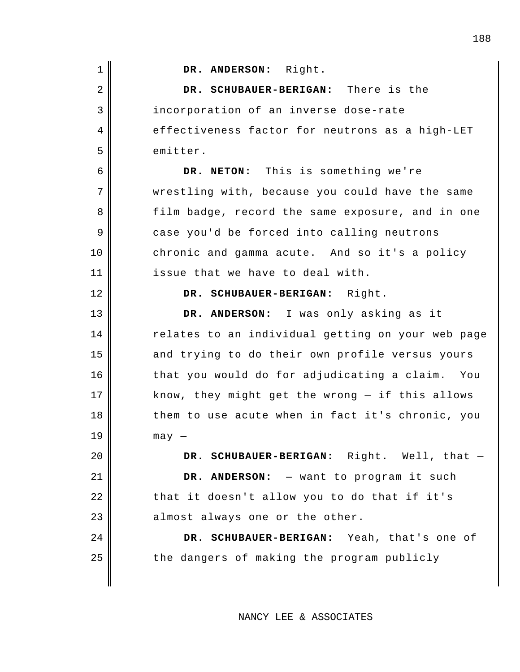| 1  | DR. ANDERSON: Right.                              |
|----|---------------------------------------------------|
| 2  | DR. SCHUBAUER-BERIGAN: There is the               |
| 3  | incorporation of an inverse dose-rate             |
| 4  | effectiveness factor for neutrons as a high-LET   |
| 5  | emitter.                                          |
| 6  | DR. NETON: This is something we're                |
| 7  | wrestling with, because you could have the same   |
| 8  | film badge, record the same exposure, and in one  |
| 9  | case you'd be forced into calling neutrons        |
| 10 | chronic and gamma acute. And so it's a policy     |
| 11 | issue that we have to deal with.                  |
| 12 | DR. SCHUBAUER-BERIGAN: Right.                     |
| 13 | DR. ANDERSON: I was only asking as it             |
| 14 | relates to an individual getting on your web page |
| 15 | and trying to do their own profile versus yours   |
| 16 | that you would do for adjudicating a claim. You   |
| 17 | know, they might get the wrong $-$ if this allows |
| 18 | them to use acute when in fact it's chronic, you  |
| 19 | $may -$                                           |
| 20 | DR. SCHUBAUER-BERIGAN: Right. Well, that -        |
| 21 | DR. ANDERSON: - want to program it such           |
| 22 | that it doesn't allow you to do that if it's      |
| 23 | almost always one or the other.                   |
| 24 | DR. SCHUBAUER-BERIGAN: Yeah, that's one of        |
| 25 | the dangers of making the program publicly        |
|    |                                                   |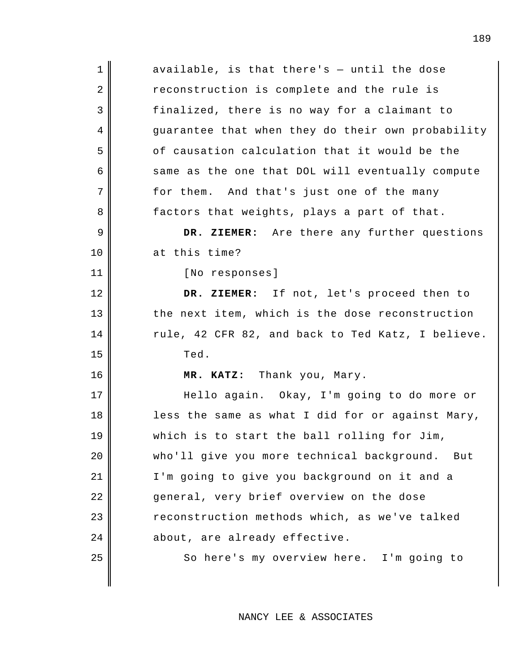| 1              | available, is that there's $-$ until the dose     |
|----------------|---------------------------------------------------|
| 2              | reconstruction is complete and the rule is        |
| $\mathfrak{Z}$ | finalized, there is no way for a claimant to      |
| 4              | guarantee that when they do their own probability |
| 5              | of causation calculation that it would be the     |
| 6              | same as the one that DOL will eventually compute  |
| 7              | for them. And that's just one of the many         |
| 8              | factors that weights, plays a part of that.       |
| 9              | DR. ZIEMER: Are there any further questions       |
| 10             | at this time?                                     |
| 11             | [No responses]                                    |
| 12             | DR. ZIEMER: If not, let's proceed then to         |
| 13             | the next item, which is the dose reconstruction   |
| 14             | rule, 42 CFR 82, and back to Ted Katz, I believe. |
| 15             | Ted.                                              |
|                |                                                   |
| 16             | MR. KATZ: Thank you, Mary.                        |
| 17             | Hello again. Okay, I'm going to do more or        |
| 18             | less the same as what I did for or against Mary,  |
| 19             | which is to start the ball rolling for Jim,       |
| 20             | who'll give you more technical background. But    |
| 21             | I'm going to give you background on it and a      |
| 22             | general, very brief overview on the dose          |
| 23             | reconstruction methods which, as we've talked     |
| 24             | about, are already effective.                     |
| 25             | So here's my overview here. I'm going to          |

 $\overline{\phantom{a}}$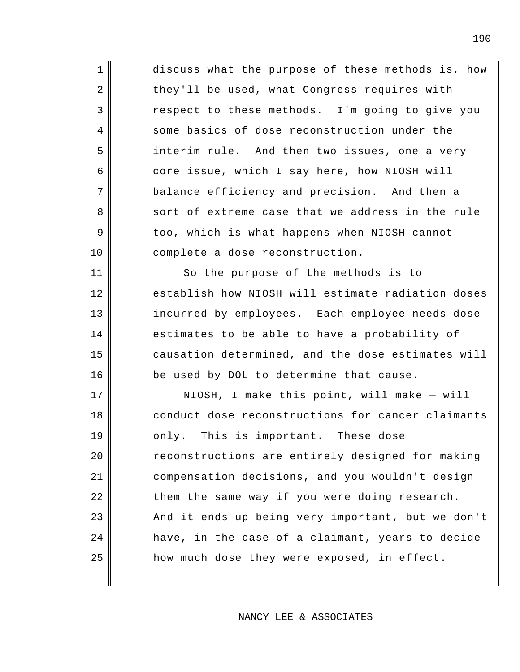3 respect to these methods. I'm going to give you 5 interim rule. And then two issues, one a very 7 balance efficiency and precision. And then a discuss what the purpose of these methods is, how they'll be used, what Congress requires with some basics of dose reconstruction under the core issue, which I say here, how NIOSH will sort of extreme case that we address in the rule too, which is what happens when NIOSH cannot complete a dose reconstruction.

1

2

4

6

8

9

10

11

12

14

15

16

13 incurred by employees. Each employee needs dose So the purpose of the methods is to establish how NIOSH will estimate radiation doses estimates to be able to have a probability of causation determined, and the dose estimates will be used by DOL to determine that cause.

17 18  $19$  only. 20 21  $2.2<sub>2</sub>$ 23 24 25 NIOSH, I make this point, will make — will conduct dose reconstructions for cancer claimants This is important. These dose reconstructions are entirely designed for making compensation decisions, and you wouldn't design them the same way if you were doing research. And it ends up being very important, but we don't have, in the case of a claimant, years to decide how much dose they were exposed, in effect.

190

 $\overline{\phantom{a}}$ 

 $\overline{\phantom{a}}$ 

 $\overline{\phantom{a}}$ 

 $\overline{\phantom{a}}$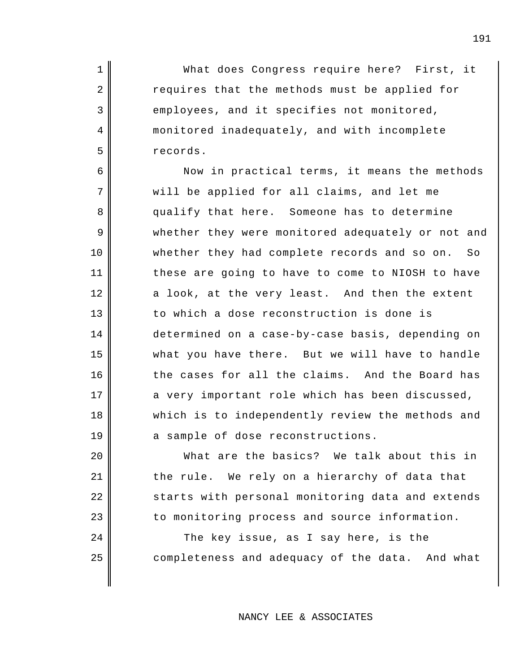1 What does Congress require here? First, it requires that the methods must be applied for employees, and it specifies not monitored, monitored inadequately, and with incomplete records.

2

3

4

5

6

7

9

11

13

14

17

18

19

22

24

8 qualify that here. 10 whether they had complete records and so on. So 12 a look, at the very least. And then the extent 15 | what you have there. 16 the cases for all the claims. And the Board has Now in practical terms, it means the methods will be applied for all claims, and let me Someone has to determine whether they were monitored adequately or not and these are going to have to come to NIOSH to have to which a dose reconstruction is done is determined on a case-by-case basis, depending on But we will have to handle a very important role which has been discussed, which is to independently review the methods and a sample of dose reconstructions.

20 What are the basics? We talk about this in 21 | the rule. We rely on a hierarchy of data that 23 | to monitoring process and source information. starts with personal monitoring data and extends

25 completeness and adequacy of the data. And what The key issue, as I say here, is the

## NANCY LEE & ASSOCIATES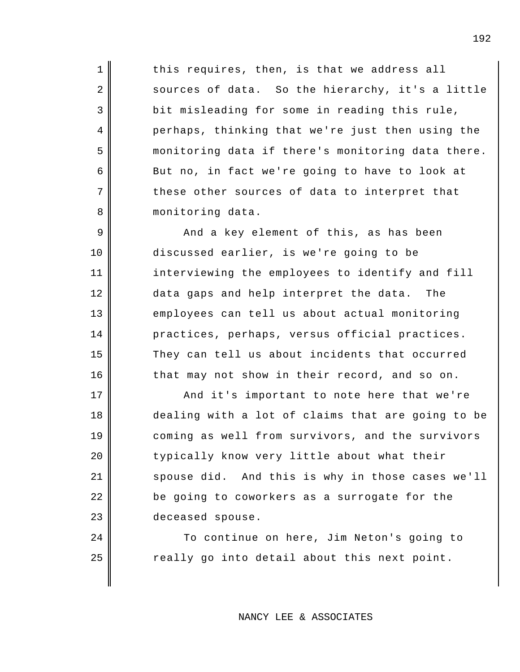2 Sources of data. So the hierarchy, it's a little 8 | monitoring data. this requires, then, is that we address all bit misleading for some in reading this rule, perhaps, thinking that we're just then using the monitoring data if there's monitoring data there. But no, in fact we're going to have to look at these other sources of data to interpret that

1

3

4

5

6

7

9

10

11

13

14

15

17

18

19

20

22

23

24

25

12 data gaps and help interpret the data. The 16 that may not show in their record, and so on. And a key element of this, as has been discussed earlier, is we're going to be interviewing the employees to identify and fill employees can tell us about actual monitoring practices, perhaps, versus official practices. They can tell us about incidents that occurred

21 | Spouse did. And this is why in those cases we'll And it's important to note here that we're dealing with a lot of claims that are going to be coming as well from survivors, and the survivors typically know very little about what their be going to coworkers as a surrogate for the deceased spouse.

> To continue on here, Jim Neton's going to really go into detail about this next point.

## NANCY LEE & ASSOCIATES

192

 $\overline{\phantom{a}}$ 

 $\overline{\phantom{a}}$ 

 $\overline{\phantom{a}}$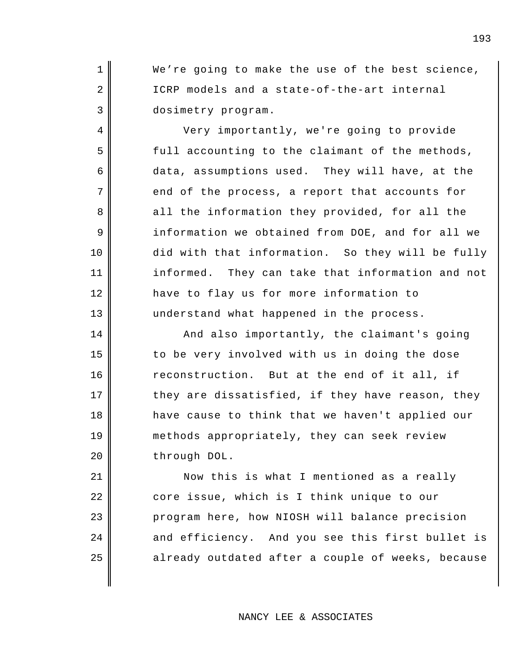3 dosimetry program. We're going to make the use of the best science, ICRP models and a state-of-the-art internal

1

2

4

5

7

8

9

12

13

14

15

17

18

19

20

6 data, assumptions used. They will have, at the 10 did with that information. So they will be fully 11 informed. They can take that information and not Very importantly, we're going to provide full accounting to the claimant of the methods, end of the process, a report that accounts for all the information they provided, for all the information we obtained from DOE, and for all we have to flay us for more information to understand what happened in the process.

16 reconstruction. But at the end of it all, if And also importantly, the claimant's going to be very involved with us in doing the dose they are dissatisfied, if they have reason, they have cause to think that we haven't applied our methods appropriately, they can seek review through DOL.

21 22 23 24 and efficiency. And you see this first bullet is 25 Now this is what I mentioned as a really core issue, which is I think unique to our program here, how NIOSH will balance precision already outdated after a couple of weeks, because

NANCY LEE & ASSOCIATES

 $\overline{\phantom{a}}$ 

 $\overline{\phantom{a}}$ 

 $\overline{\phantom{a}}$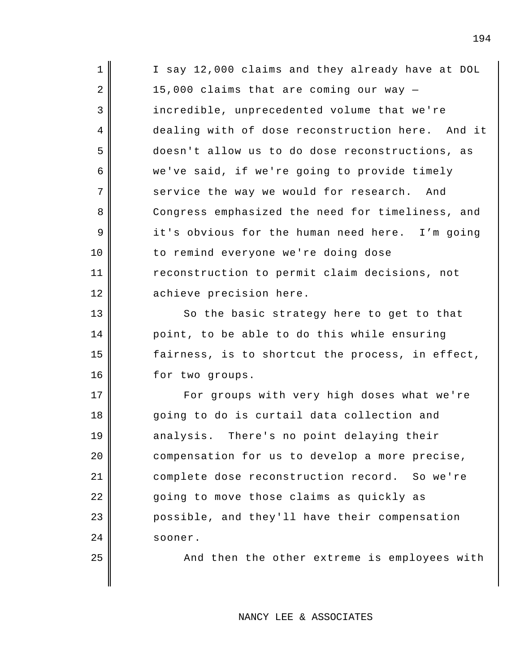| $\mathbf 1$ | I say 12,000 claims and they already have at DOL |
|-------------|--------------------------------------------------|
| 2           | 15,000 claims that are coming our way -          |
| 3           | incredible, unprecedented volume that we're      |
| 4           | dealing with of dose reconstruction here. And it |
| 5           | doesn't allow us to do dose reconstructions, as  |
| 6           | we've said, if we're going to provide timely     |
| 7           | service the way we would for research. And       |
| 8           | Congress emphasized the need for timeliness, and |
| 9           | it's obvious for the human need here. I'm going  |
| 10          | to remind everyone we're doing dose              |
| 11          | reconstruction to permit claim decisions, not    |
| 12          | achieve precision here.                          |
| 13          | So the basic strategy here to get to that        |
| 14          | point, to be able to do this while ensuring      |
| 15          | fairness, is to shortcut the process, in effect, |
| 16          | for two groups.                                  |
| 17          | For groups with very high doses what we're       |
| 18          | going to do is curtail data collection and       |
| 19          | analysis. There's no point delaying their        |
| 20          | compensation for us to develop a more precise,   |
| 21          | complete dose reconstruction record. So we're    |
| 22          | going to move those claims as quickly as         |
| 23          | possible, and they'll have their compensation    |
| 24          | sooner.                                          |
| 25          | And then the other extreme is employees with     |
|             |                                                  |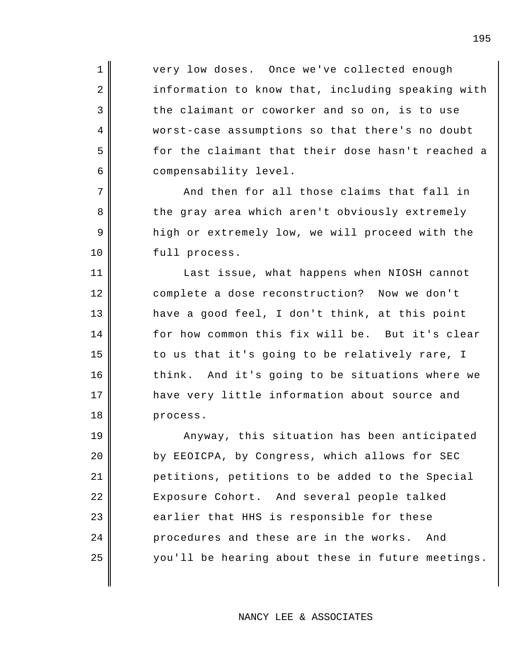1 very low doses. Once we've collected enough information to know that, including speaking with the claimant or coworker and so on, is to use worst-case assumptions so that there's no doubt for the claimant that their dose hasn't reached a compensability level.

2

3

4

5

6

7

8

9

10

11

13

15

17

18

And then for all those claims that fall in the gray area which aren't obviously extremely high or extremely low, we will proceed with the full process.

12 complete a dose reconstruction? Now we don't 14 for how common this fix will be. But it's clear  $16$  think. Last issue, what happens when NIOSH cannot have a good feel, I don't think, at this point to us that it's going to be relatively rare, I And it's going to be situations where we have very little information about source and process.

19 20 21 22 Exposure Cohort. And several people talked 23 24 procedures and these are in the works. And 25 Anyway, this situation has been anticipated by EEOICPA, by Congress, which allows for SEC petitions, petitions to be added to the Special earlier that HHS is responsible for these you'll be hearing about these in future meetings.

NANCY LEE & ASSOCIATES

 $\overline{\phantom{a}}$ 

 $\overline{\phantom{a}}$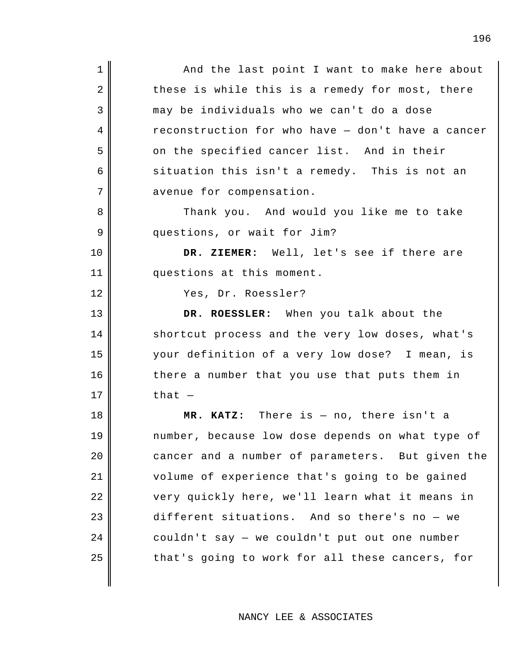1 2 3 4 5 on the specified cancer list. And in their 6 situation this isn't a remedy. This is not an 7 avenue for compensation. 8 Thank you. And would you like me to take 9 10 **DR. ZIEMER:** Well, let's see if there are 11 questions at this moment. 12 13 **DR. ROESSLER:** When you talk about the 14 15 your definition of a very low dose? I mean, is 16 17 18 **|| MR. KATZ:** 19 20 cancer and a number of parameters. But given the 21 22 23 different situations. And so there's no — we 24 25 And the last point I want to make here about these is while this is a remedy for most, there may be individuals who we can't do a dose reconstruction for who have — don't have a cancer questions, or wait for Jim? Yes, Dr. Roessler? shortcut process and the very low doses, what's there a number that you use that puts them in that  $-$ There is  $-$  no, there isn't a number, because low dose depends on what type of volume of experience that's going to be gained very quickly here, we'll learn what it means in couldn't say — we couldn't put out one number that's going to work for all these cancers, for

NANCY LEE & ASSOCIATES

 $\overline{\phantom{a}}$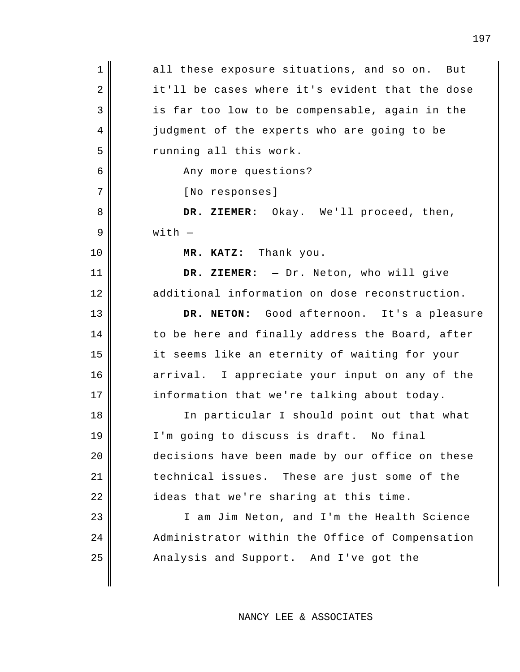| $\mathbf 1$    | all these exposure situations, and so on. But   |
|----------------|-------------------------------------------------|
| $\overline{a}$ | it'll be cases where it's evident that the dose |
| 3              | is far too low to be compensable, again in the  |
| $\overline{4}$ | judgment of the experts who are going to be     |
| 5              | running all this work.                          |
| 6              | Any more questions?                             |
| 7              | [No responses]                                  |
| 8              | DR. ZIEMER: Okay. We'll proceed, then,          |
| 9              | $with -$                                        |
| 10             | MR. KATZ: Thank you.                            |
| 11             | DR. ZIEMER: - Dr. Neton, who will give          |
| 12             | additional information on dose reconstruction.  |
| 13             | DR. NETON: Good afternoon. It's a pleasure      |
| 14             | to be here and finally address the Board, after |
| 15             | it seems like an eternity of waiting for your   |
| 16             | arrival. I appreciate your input on any of the  |
| 17             | information that we're talking about today.     |
| 18             | In particular I should point out that what      |
| 19             | I'm going to discuss is draft. No final         |
| 20             | decisions have been made by our office on these |
| 21             | technical issues. These are just some of the    |
| 22             | ideas that we're sharing at this time.          |
| 23             | I am Jim Neton, and I'm the Health Science      |
| 24             | Administrator within the Office of Compensation |
| 25             | Analysis and Support. And I've got the          |
|                |                                                 |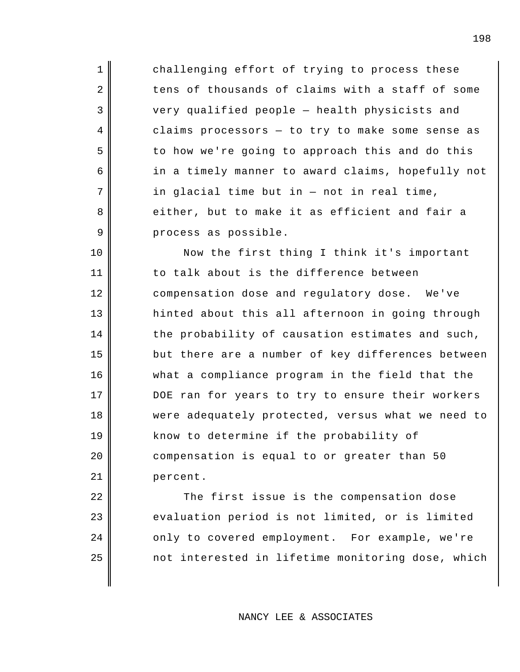challenging effort of trying to process these tens of thousands of claims with a staff of some very qualified people — health physicists and claims processors — to try to make some sense as to how we're going to approach this and do this in a timely manner to award claims, hopefully not in glacial time but in — not in real time, either, but to make it as efficient and fair a process as possible.

1

2

3

4

5

6

7

8

9

10

22

23

25

11 12 compensation dose and regulatory dose. We've 13 14 15 16 17 18 19 20 21 Now the first thing I think it's important to talk about is the difference between hinted about this all afternoon in going through the probability of causation estimates and such, but there are a number of key differences between what a compliance program in the field that the DOE ran for years to try to ensure their workers were adequately protected, versus what we need to know to determine if the probability of compensation is equal to or greater than 50 percent.

24 | Only to covered employment. For example, we're The first issue is the compensation dose evaluation period is not limited, or is limited not interested in lifetime monitoring dose, which

NANCY LEE & ASSOCIATES

198

 $\overline{\phantom{a}}$ 

 $\overline{\phantom{a}}$ 

 $\overline{\phantom{a}}$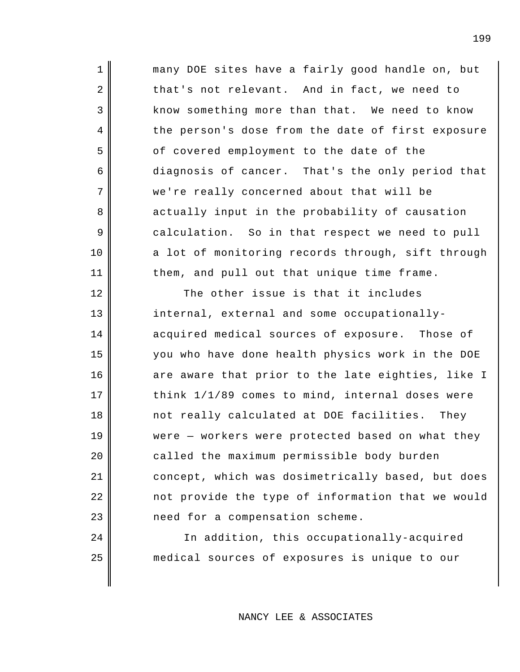| $\mathbf 1$ | many DOE sites have a fairly good handle on, but  |
|-------------|---------------------------------------------------|
| 2           | that's not relevant. And in fact, we need to      |
| 3           | know something more than that. We need to know    |
| 4           | the person's dose from the date of first exposure |
| 5           | of covered employment to the date of the          |
| 6           | diagnosis of cancer. That's the only period that  |
| 7           | we're really concerned about that will be         |
| 8           | actually input in the probability of causation    |
| 9           | calculation. So in that respect we need to pull   |
| 10          | a lot of monitoring records through, sift through |
| 11          | them, and pull out that unique time frame.        |
| 12          | The other issue is that it includes               |
| 13          | internal, external and some occupationally-       |
|             |                                                   |
| 14          | acquired medical sources of exposure. Those of    |
| 15          | you who have done health physics work in the DOE  |
| 16          | are aware that prior to the late eighties, like I |
| 17          | think $1/1/89$ comes to mind, internal doses were |
| 18          | not really calculated at DOE facilities. They     |
| 19          | were - workers were protected based on what they  |
| 20          | called the maximum permissible body burden        |
| 21          | concept, which was dosimetrically based, but does |
| 22          | not provide the type of information that we would |
| 23          | need for a compensation scheme.                   |

25

medical sources of exposures is unique to our

 $\overline{\phantom{a}}$ 

 $\overline{\phantom{a}}$ 

 $\overline{\phantom{a}}$ 

 $\overline{\phantom{a}}$ 

 $\overline{\phantom{a}}$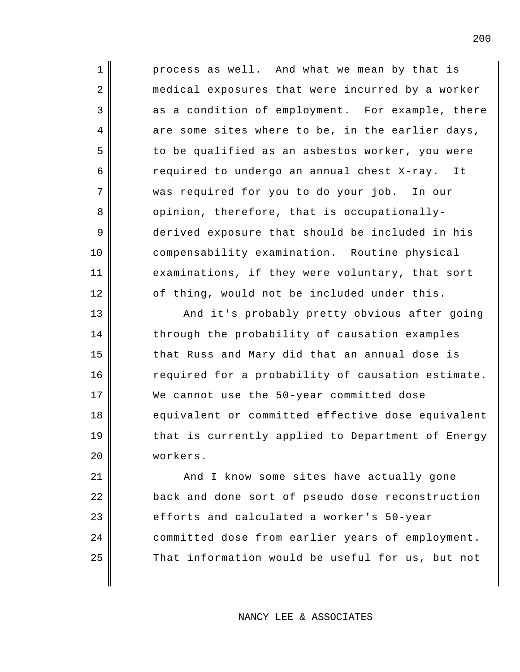1 process as well. And what we mean by that is 3 as a condition of employment. For example, there 6 required to undergo an annual chest X-ray. It 7 was required for you to do your job. In our 10 compensability examination. Routine physical medical exposures that were incurred by a worker are some sites where to be, in the earlier days, to be qualified as an asbestos worker, you were opinion, therefore, that is occupationallyderived exposure that should be included in his examinations, if they were voluntary, that sort of thing, would not be included under this. And it's probably pretty obvious after going

2

4

5

8

9

11

12

13

14

15

16

17

18

19

20

through the probability of causation examples that Russ and Mary did that an annual dose is required for a probability of causation estimate. We cannot use the 50-year committed dose equivalent or committed effective dose equivalent that is currently applied to Department of Energy workers.

21 22 23 24 25 And I know some sites have actually gone back and done sort of pseudo dose reconstruction efforts and calculated a worker's 50-year committed dose from earlier years of employment. That information would be useful for us, but not

NANCY LEE & ASSOCIATES

200

 $\overline{\phantom{a}}$ 

 $\overline{\phantom{a}}$ 

 $\overline{\phantom{a}}$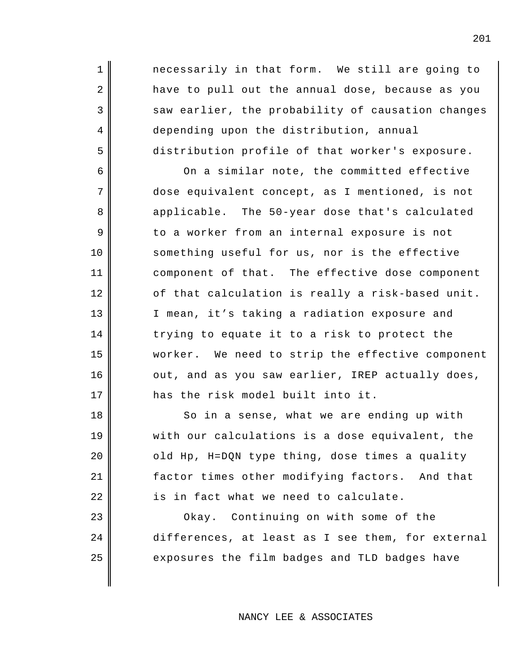1 necessarily in that form. We still are going to 2 3 4 5 6 7 8 applicable. 9 10 11 component of that. The effective dose component 12 13 14 15 worker. We need to strip the effective component 16 17 has the risk model built into it. 18 19 have to pull out the annual dose, because as you saw earlier, the probability of causation changes depending upon the distribution, annual distribution profile of that worker's exposure. On a similar note, the committed effective dose equivalent concept, as I mentioned, is not The 50-year dose that's calculated to a worker from an internal exposure is not something useful for us, nor is the effective of that calculation is really a risk-based unit. I mean, it's taking a radiation exposure and trying to equate it to a risk to protect the out, and as you saw earlier, IREP actually does, So in a sense, what we are ending up with

21 factor times other modifying factors. And that with our calculations is a dose equivalent, the old Hp, H=DQN type thing, dose times a quality is in fact what we need to calculate.

20

22

24

25

23 Okay. Continuing on with some of the differences, at least as I see them, for external exposures the film badges and TLD badges have

NANCY LEE & ASSOCIATES

 $\overline{\phantom{a}}$ 

 $\overline{\phantom{a}}$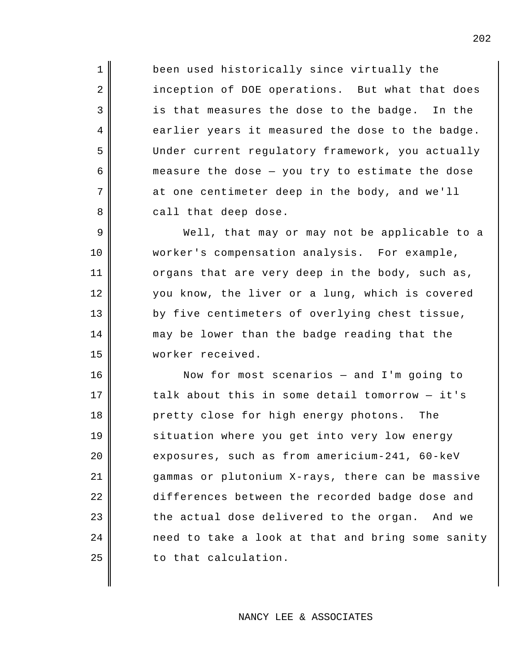2 inception of DOE operations. But what that does 3 is that measures the dose to the badge. In the 8 call that deep dose. been used historically since virtually the earlier years it measured the dose to the badge. Under current regulatory framework, you actually measure the dose — you try to estimate the dose at one centimeter deep in the body, and we'll

1

4

5

6

7

9

11

12

13

14

15

10 worker's compensation analysis. For example, Well, that may or may not be applicable to a organs that are very deep in the body, such as, you know, the liver or a lung, which is covered by five centimeters of overlying chest tissue, may be lower than the badge reading that the worker received.

16 17 18 pretty close for high energy photons. The 19 20 21 22 23 | the actual dose delivered to the organ. And we 24 25 Now for most scenarios — and I'm going to talk about this in some detail tomorrow — it's situation where you get into very low energy exposures, such as from americium-241, 60-keV gammas or plutonium X-rays, there can be massive differences between the recorded badge dose and need to take a look at that and bring some sanity to that calculation.

202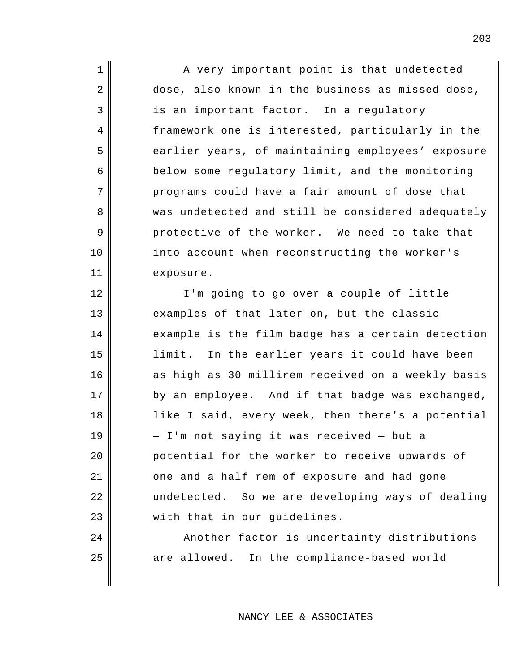3 is an important factor. In a regulatory 9 protective of the worker. We need to take that A very important point is that undetected dose, also known in the business as missed dose, framework one is interested, particularly in the earlier years, of maintaining employees' exposure below some regulatory limit, and the monitoring programs could have a fair amount of dose that was undetected and still be considered adequately into account when reconstructing the worker's exposure.

1

2

4

5

6

7

8

10

11

12

13

14

16

18

19

20

21

23

24

 $15$   $\parallel$   $1imit.$ 17 by an employee. And if that badge was exchanged, 22 undetected. So we are developing ways of dealing I'm going to go over a couple of little examples of that later on, but the classic example is the film badge has a certain detection In the earlier years it could have been as high as 30 millirem received on a weekly basis like I said, every week, then there's a potential — I'm not saying it was received — but a potential for the worker to receive upwards of one and a half rem of exposure and had gone with that in our guidelines.

25 | are allowed. In the compliance-based world Another factor is uncertainty distributions

NANCY LEE & ASSOCIATES

 $\overline{\phantom{a}}$ 

 $\overline{\phantom{a}}$ 

 $\overline{\phantom{a}}$ 

 $\overline{\phantom{a}}$ 

 $\overline{\phantom{a}}$ 

 $\overline{\phantom{a}}$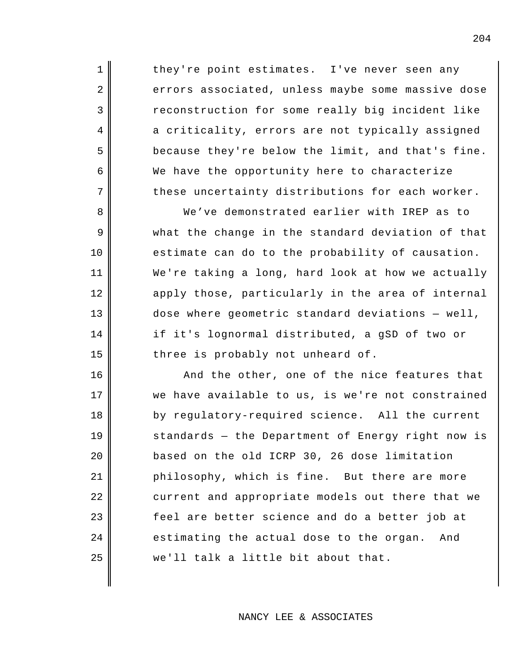1 | they're point estimates. I've never seen any errors associated, unless maybe some massive dose reconstruction for some really big incident like a criticality, errors are not typically assigned because they're below the limit, and that's fine. We have the opportunity here to characterize these uncertainty distributions for each worker.

2

3

4

5

6

7

8

9

11

12

13

14

10 estimate can do to the probability of causation. 15 three is probably not unheard of. We've demonstrated earlier with IREP as to what the change in the standard deviation of that We're taking a long, hard look at how we actually apply those, particularly in the area of internal dose where geometric standard deviations — well, if it's lognormal distributed, a gSD of two or

16 17 18 by regulatory-required science. All the current 19 20 21 philosophy, which is fine. But there are more 22 23 24 estimating the actual dose to the organ. And 25 And the other, one of the nice features that we have available to us, is we're not constrained standards — the Department of Energy right now is based on the old ICRP 30, 26 dose limitation current and appropriate models out there that we feel are better science and do a better job at we'll talk a little bit about that.

NANCY LEE & ASSOCIATES

 $\overline{\phantom{a}}$ 

 $\overline{\phantom{a}}$ 

 $\overline{\phantom{a}}$ 

 $\overline{\phantom{a}}$ 

 $\overline{\phantom{a}}$ 

 $\overline{\phantom{a}}$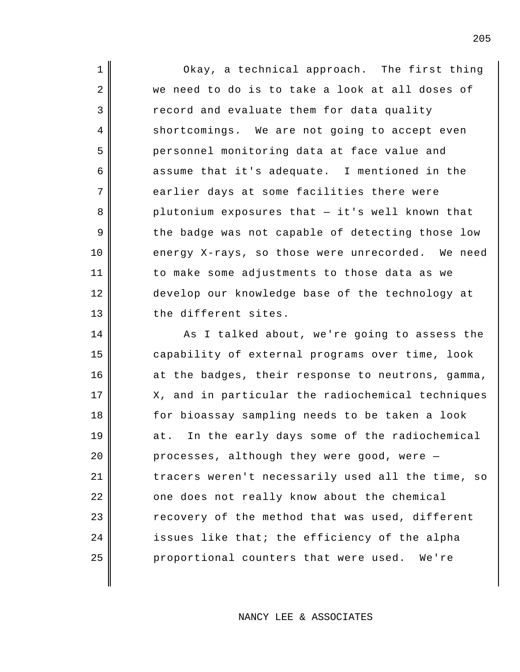| $\mathbf 1$ | Okay, a technical approach. The first thing        |  |  |  |  |  |  |
|-------------|----------------------------------------------------|--|--|--|--|--|--|
| 2           | we need to do is to take a look at all doses of    |  |  |  |  |  |  |
| 3           | record and evaluate them for data quality          |  |  |  |  |  |  |
| 4           | shortcomings. We are not going to accept even      |  |  |  |  |  |  |
| 5           | personnel monitoring data at face value and        |  |  |  |  |  |  |
| 6           | assume that it's adequate. I mentioned in the      |  |  |  |  |  |  |
| 7           | earlier days at some facilities there were         |  |  |  |  |  |  |
| 8           | plutonium exposures that - it's well known that    |  |  |  |  |  |  |
| 9           | the badge was not capable of detecting those low   |  |  |  |  |  |  |
| 10          | energy X-rays, so those were unrecorded. We need   |  |  |  |  |  |  |
| 11          | to make some adjustments to those data as we       |  |  |  |  |  |  |
| 12          | develop our knowledge base of the technology at    |  |  |  |  |  |  |
| 13          | the different sites.                               |  |  |  |  |  |  |
| 14          | As I talked about, we're going to assess the       |  |  |  |  |  |  |
| 15          | capability of external programs over time, look    |  |  |  |  |  |  |
| 16          | at the badges, their response to neutrons, gamma,  |  |  |  |  |  |  |
| 17          | X, and in particular the radiochemical techniques  |  |  |  |  |  |  |
|             |                                                    |  |  |  |  |  |  |
| 18          | for bioassay sampling needs to be taken a look     |  |  |  |  |  |  |
| 19          | In the early days some of the radiochemical<br>at. |  |  |  |  |  |  |
| 20          | processes, although they were good, were -         |  |  |  |  |  |  |
| 21          | tracers weren't necessarily used all the time, so  |  |  |  |  |  |  |
| 22          | one does not really know about the chemical        |  |  |  |  |  |  |
| 23          | recovery of the method that was used, different    |  |  |  |  |  |  |
| 24          | issues like that; the efficiency of the alpha      |  |  |  |  |  |  |
| 25          | proportional counters that were used. We're        |  |  |  |  |  |  |

205

 $\overline{\phantom{a}}$ 

 $\overline{\phantom{a}}$ 

 $\overline{\phantom{a}}$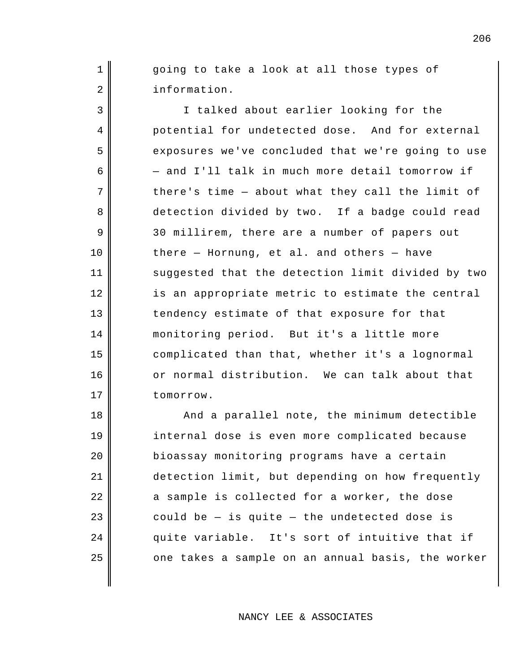going to take a look at all those types of information.

1

2

3

5

6

7

9

10

11

12

13

15

17

4 potential for undetected dose. And for external 8 detection divided by two. If a badge could read 14 monitoring period. But it's a little more 16 or normal distribution. We can talk about that I talked about earlier looking for the exposures we've concluded that we're going to use — and I'll talk in much more detail tomorrow if there's time — about what they call the limit of 30 millirem, there are a number of papers out there — Hornung, et al. and others — have suggested that the detection limit divided by two is an appropriate metric to estimate the central tendency estimate of that exposure for that complicated than that, whether it's a lognormal tomorrow.

18 19 20 21 22 23  $24$   $\parallel$  quite variable. 25 And a parallel note, the minimum detectible internal dose is even more complicated because bioassay monitoring programs have a certain detection limit, but depending on how frequently a sample is collected for a worker, the dose could be  $-$  is quite  $-$  the undetected dose is It's sort of intuitive that if one takes a sample on an annual basis, the worker

NANCY LEE & ASSOCIATES

206

 $\overline{\phantom{a}}$ 

 $\overline{\phantom{a}}$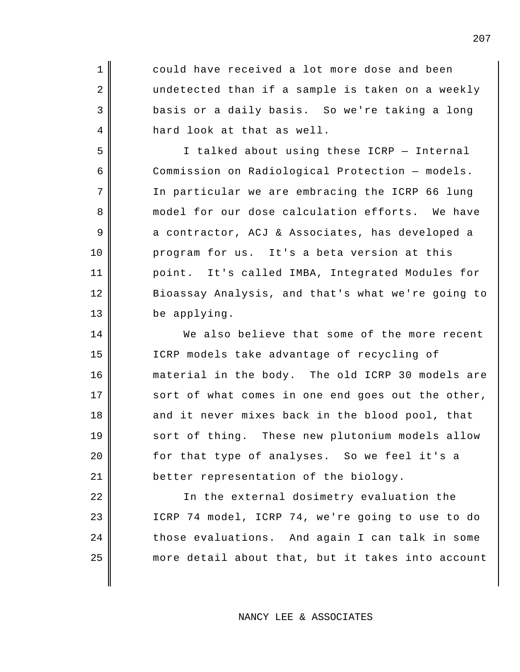3 basis or a daily basis. So we're taking a long could have received a lot more dose and been undetected than if a sample is taken on a weekly hard look at that as well.

1

2

4

5

6

7

9

12

14

15

17

18

21

22

23

25

8 model for our dose calculation efforts. We have  $10$   $\parallel$  program for us.  $11$  point. 13 be applying. I talked about using these ICRP — Internal Commission on Radiological Protection — models. In particular we are embracing the ICRP 66 lung a contractor, ACJ & Associates, has developed a It's a beta version at this It's called IMBA, Integrated Modules for Bioassay Analysis, and that's what we're going to

16 material in the body. The old ICRP 30 models are 19 sort of thing. These new plutonium models allow 20 for that type of analyses. So we feel it's a We also believe that some of the more recent ICRP models take advantage of recycling of sort of what comes in one end goes out the other, and it never mixes back in the blood pool, that better representation of the biology.

24 | those evaluations. And again I can talk in some In the external dosimetry evaluation the ICRP 74 model, ICRP 74, we're going to use to do more detail about that, but it takes into account

## NANCY LEE & ASSOCIATES

207

 $\overline{\phantom{a}}$ 

 $\overline{\phantom{a}}$ 

 $\overline{\phantom{a}}$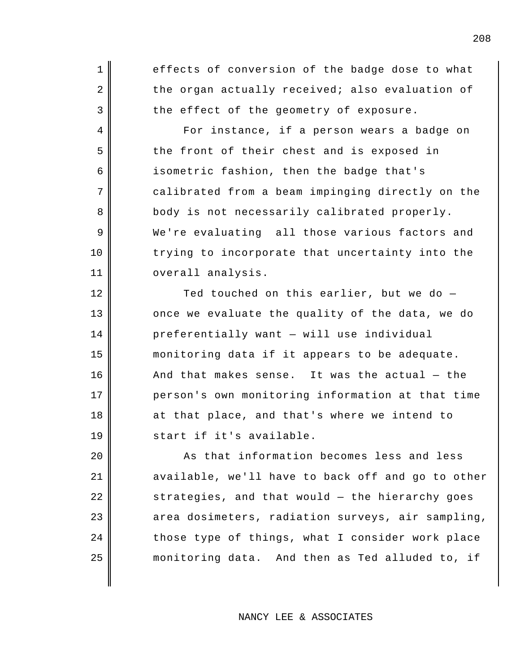| effects of conversion of the badge dose to what |  |  |  |  |
|-------------------------------------------------|--|--|--|--|
| the organ actually received; also evaluation of |  |  |  |  |
| the effect of the geometry of exposure.         |  |  |  |  |

1

2

3

4

5

6

7

8

10

11

12

13

14

15

17

18

9 We're evaluating all those various factors and For instance, if a person wears a badge on the front of their chest and is exposed in isometric fashion, then the badge that's calibrated from a beam impinging directly on the body is not necessarily calibrated properly. trying to incorporate that uncertainty into the overall analysis.

16 And that makes sense. 19 start if it's available. Ted touched on this earlier, but we do once we evaluate the quality of the data, we do preferentially want — will use individual monitoring data if it appears to be adequate. It was the actual  $-$  the person's own monitoring information at that time at that place, and that's where we intend to

20 21 22 23 24 25 monitoring data. And then as Ted alluded to, if As that information becomes less and less available, we'll have to back off and go to other strategies, and that would — the hierarchy goes area dosimeters, radiation surveys, air sampling, those type of things, what I consider work place

NANCY LEE & ASSOCIATES

208

 $\overline{\phantom{a}}$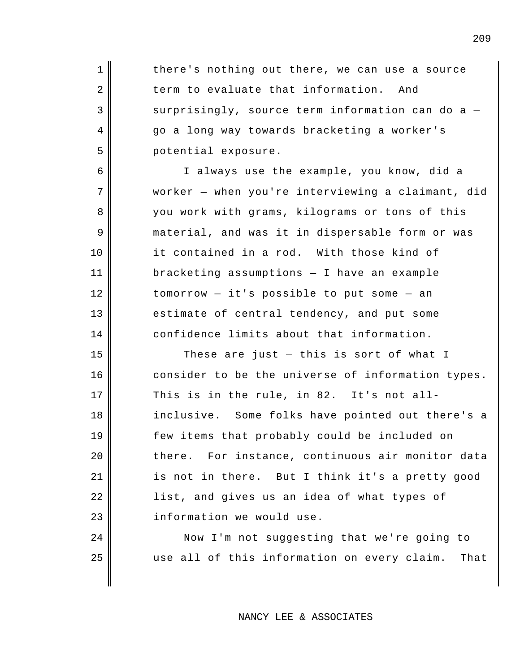2 | term to evaluate that information. And there's nothing out there, we can use a source surprisingly, source term information can do a go a long way towards bracketing a worker's potential exposure.

1

3

4

5

6

7

8

9

11

12

13

14

15

16

19

22

23

24

10 it contained in a rod. With those kind of I always use the example, you know, did a worker — when you're interviewing a claimant, did you work with grams, kilograms or tons of this material, and was it in dispersable form or was bracketing assumptions — I have an example  $tomorrow - it's possible to put some - an$ estimate of central tendency, and put some confidence limits about that information.

17 This is in the rule, in 82. It's not all-18 inclusive. Some folks have pointed out there's a 20 bhere. 21 is not in there. But I think it's a pretty good These are just — this is sort of what I consider to be the universe of information types. few items that probably could be included on For instance, continuous air monitor data list, and gives us an idea of what types of information we would use.

25 use all of this information on every claim. That Now I'm not suggesting that we're going to

NANCY LEE & ASSOCIATES

 $\overline{\phantom{a}}$ 

 $\overline{\phantom{a}}$ 

 $\overline{\phantom{a}}$ 

 $\overline{\phantom{a}}$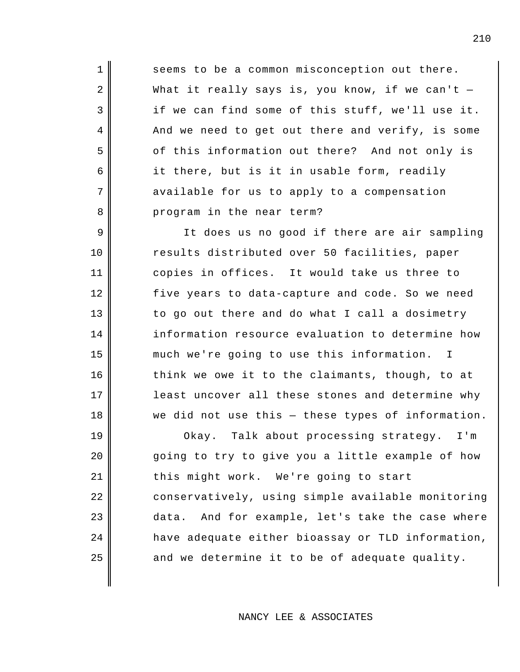5 of this information out there? And not only is 8 program in the near term? seems to be a common misconception out there. What it really says is, you know, if we can't  $$ if we can find some of this stuff, we'll use it. And we need to get out there and verify, is some it there, but is it in usable form, readily available for us to apply to a compensation

1

2

3

4

6

7

9

10

12

13

14

16

17

18

11 copies in offices. It would take us three to 15 much we're going to use this information. I It does us no good if there are air sampling results distributed over 50 facilities, paper five years to data-capture and code. So we need to go out there and do what I call a dosimetry information resource evaluation to determine how think we owe it to the claimants, though, to at least uncover all these stones and determine why we did not use this — these types of information.

 $19 \parallel$  Okay. 20 21 | this might work. We're going to start 22  $23$  data. 24 25 Talk about processing strategy. I'm going to try to give you a little example of how conservatively, using simple available monitoring And for example, let's take the case where have adequate either bioassay or TLD information, and we determine it to be of adequate quality.

NANCY LEE & ASSOCIATES

 $\overline{\phantom{a}}$ 

 $\overline{\phantom{a}}$ 

 $\overline{\phantom{a}}$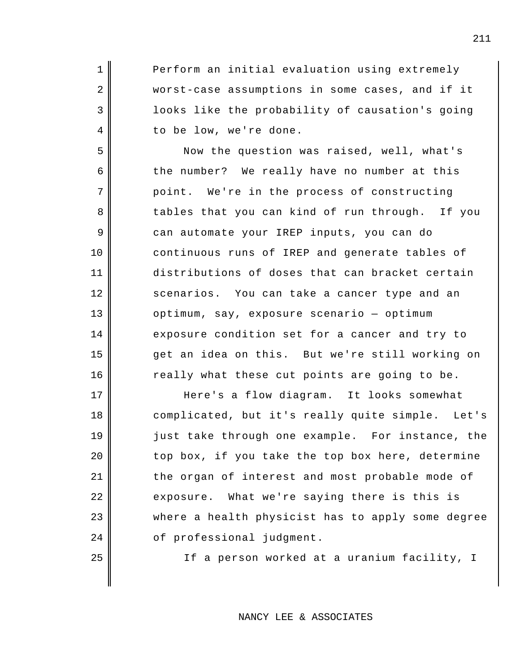Perform an initial evaluation using extremely worst-case assumptions in some cases, and if it looks like the probability of causation's going to be low, we're done.

1

2

3

4

5

9

10

11

13

14

16

20

21

23

25

6 the number? We really have no number at this  $7$   $\parallel$  point. 8 tables that you can kind of run through. If you 12 scenarios. You can take a cancer type and an 15 get an idea on this. But we're still working on Now the question was raised, well, what's We're in the process of constructing can automate your IREP inputs, you can do continuous runs of IREP and generate tables of distributions of doses that can bracket certain optimum, say, exposure scenario — optimum exposure condition set for a cancer and try to really what these cut points are going to be.

17 Here's a flow diagram. It looks somewhat 18 complicated, but it's really quite simple. Let's 19 just take through one example. For instance, the 22 exposure. What we're saying there is this is 24 of professional judgment. top box, if you take the top box here, determine the organ of interest and most probable mode of where a health physicist has to apply some degree

If a person worked at a uranium facility, I

NANCY LEE & ASSOCIATES

211

 $\overline{\phantom{a}}$ 

 $\overline{\phantom{a}}$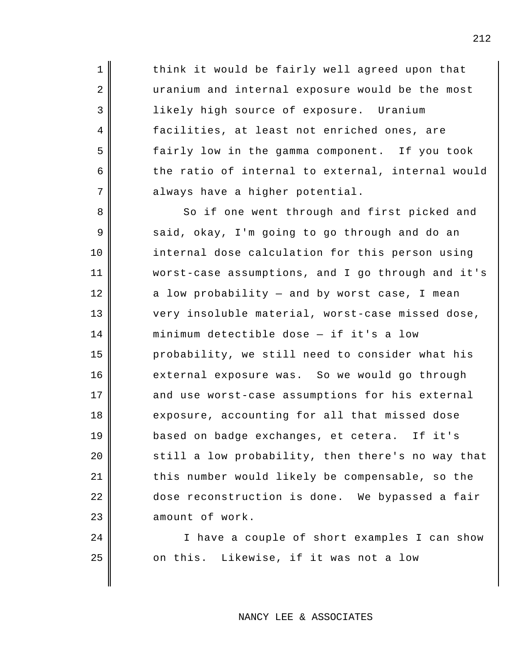3 likely high source of exposure. Uranium 5 fairly low in the gamma component. If you took 7 always have a higher potential. think it would be fairly well agreed upon that uranium and internal exposure would be the most facilities, at least not enriched ones, are the ratio of internal to external, internal would

1

2

4

6

8

9

10

24

11 12 13 14 15 16 external exposure was. So we would go through 17 18 19 based on badge exchanges, et cetera. If it's 20 21 22 dose reconstruction is done. We bypassed a fair 23 So if one went through and first picked and said, okay, I'm going to go through and do an internal dose calculation for this person using worst-case assumptions, and I go through and it's a low probability — and by worst case, I mean very insoluble material, worst-case missed dose, minimum detectible dose — if it's a low probability, we still need to consider what his and use worst-case assumptions for his external exposure, accounting for all that missed dose still a low probability, then there's no way that this number would likely be compensable, so the amount of work.

25 on this. Likewise, if it was not a low I have a couple of short examples I can show

NANCY LEE & ASSOCIATES

 $\overline{\phantom{a}}$ 

 $\overline{\phantom{a}}$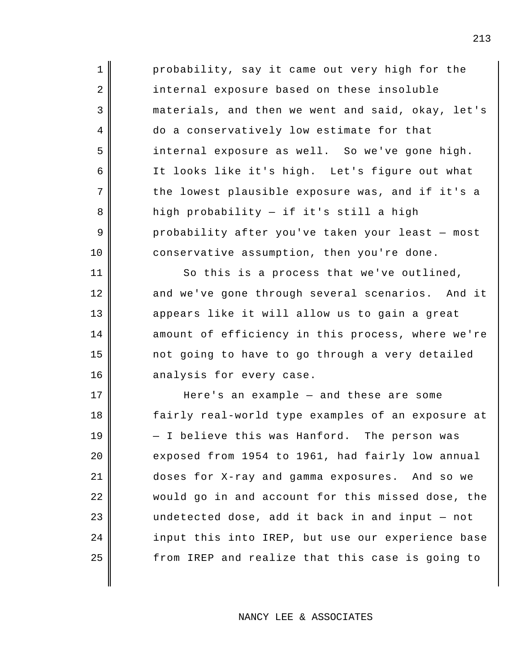| $\mathbf{1}$ | probability, say it came out very high for the    |
|--------------|---------------------------------------------------|
| 2            | internal exposure based on these insoluble        |
| 3            | materials, and then we went and said, okay, let's |
| 4            | do a conservatively low estimate for that         |
| 5            | internal exposure as well. So we've gone high.    |
| 6            | It looks like it's high. Let's figure out what    |
| 7            | the lowest plausible exposure was, and if it's a  |
| 8            | high probability - if it's still a high           |
| 9            | probability after you've taken your least - most  |
| 10           | conservative assumption, then you're done.        |
| 11           | So this is a process that we've outlined,         |
| 12           | and we've gone through several scenarios. And it  |
| 13           | appears like it will allow us to gain a great     |
| 14           | amount of efficiency in this process, where we're |
| 15           | not going to have to go through a very detailed   |
| 16           | analysis for every case.                          |
| 17           | Here's an example $-$ and these are some          |
| 18           | fairly real-world type examples of an exposure at |
| 19           | - I believe this was Hanford. The person was      |
| 20           | exposed from 1954 to 1961, had fairly low annual  |
| 21           | doses for X-ray and gamma exposures. And so we    |
| 22           | would go in and account for this missed dose, the |
| 23           | undetected dose, add it back in and input - not   |
| 24           | input this into IREP, but use our experience base |
| 25           | from IREP and realize that this case is going to  |
|              |                                                   |

 $\overline{\phantom{a}}$ 

 $\overline{\phantom{a}}$ 

 $\overline{\phantom{a}}$ 

 $\overline{\phantom{a}}$ 

 $\overline{\phantom{a}}$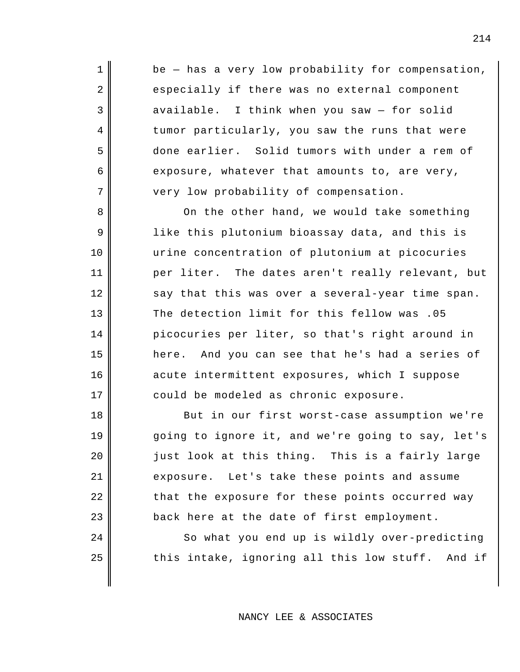3 available. I think when you saw — for solid 5 done earlier. Solid tumors with under a rem of be — has a very low probability for compensation, especially if there was no external component tumor particularly, you saw the runs that were exposure, whatever that amounts to, are very, very low probability of compensation.

1

2

4

6

7

8

9

10

12

13

14

16

18

19

22

23

24

11 per liter. The dates aren't really relevant, but  $15$  here. 17 could be modeled as chronic exposure. On the other hand, we would take something like this plutonium bioassay data, and this is urine concentration of plutonium at picocuries say that this was over a several-year time span. The detection limit for this fellow was .05 picocuries per liter, so that's right around in And you can see that he's had a series of acute intermittent exposures, which I suppose

20 just look at this thing. This is a fairly large 21 exposure. Let's take these points and assume But in our first worst-case assumption we're going to ignore it, and we're going to say, let's that the exposure for these points occurred way back here at the date of first employment.

25 | this intake, ignoring all this low stuff. And if So what you end up is wildly over-predicting

NANCY LEE & ASSOCIATES

 $\overline{\phantom{a}}$ 

 $\overline{\phantom{a}}$ 

 $\overline{\phantom{a}}$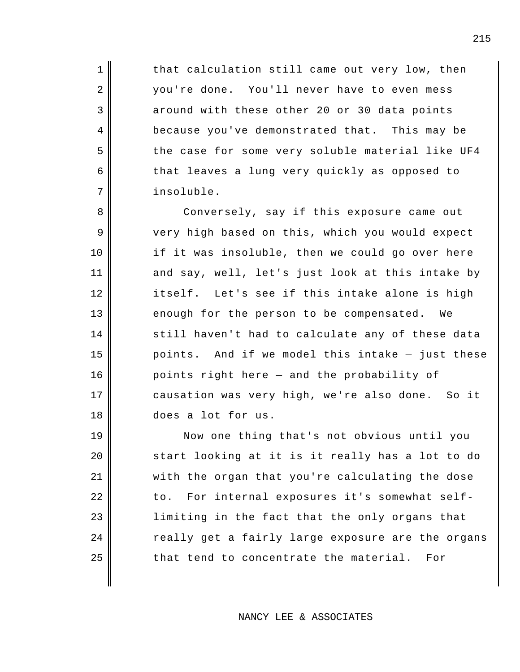2 | vou're done. You'll never have to even mess 4 because you've demonstrated that. This may be that calculation still came out very low, then around with these other 20 or 30 data points the case for some very soluble material like UF4 that leaves a lung very quickly as opposed to insoluble.

1

3

5

6

7

8

9

10

11

14

16

18

12 itself. Let's see if this intake alone is high 13 **| enough for the person to be compensated.** We 15 points. And if we model this intake — just these 17 causation was very high, we're also done. So it Conversely, say if this exposure came out very high based on this, which you would expect if it was insoluble, then we could go over here and say, well, let's just look at this intake by still haven't had to calculate any of these data points right here — and the probability of does a lot for us.

19 20 21  $22$  to. 23 24 25 | that tend to concentrate the material. For Now one thing that's not obvious until you start looking at it is it really has a lot to do with the organ that you're calculating the dose For internal exposures it's somewhat selflimiting in the fact that the only organs that really get a fairly large exposure are the organs

NANCY LEE & ASSOCIATES

 $\overline{\phantom{a}}$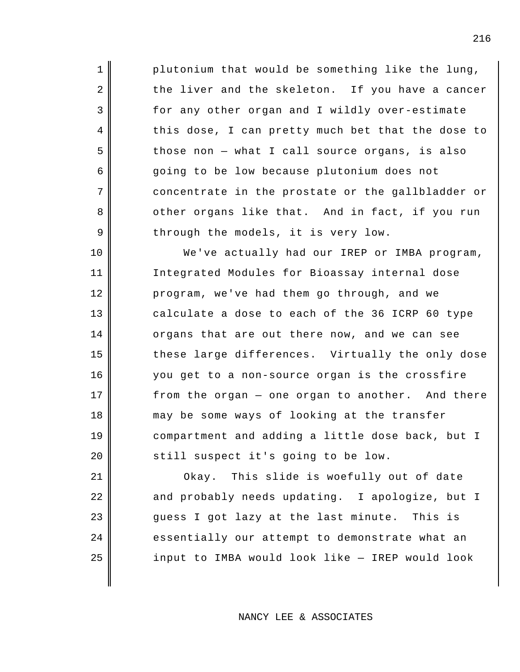2 | the liver and the skeleton. If you have a cancer 8 other organs like that. And in fact, if you run plutonium that would be something like the lung, for any other organ and I wildly over-estimate this dose, I can pretty much bet that the dose to those non — what I call source organs, is also going to be low because plutonium does not concentrate in the prostate or the gallbladder or through the models, it is very low.

1

3

4

5

6

7

9

10

11

12

13

14

16

18

19

20

15 these large differences. Virtually the only dose 17 from the organ — one organ to another. And there We've actually had our IREP or IMBA program, Integrated Modules for Bioassay internal dose program, we've had them go through, and we calculate a dose to each of the 36 ICRP 60 type organs that are out there now, and we can see you get to a non-source organ is the crossfire may be some ways of looking at the transfer compartment and adding a little dose back, but I still suspect it's going to be low.

 $21$  0  $\mathsf{0kav}.$ 22 and probably needs updating. I apologize, but I 23 guess I got lazy at the last minute. This is 24 25 This slide is woefully out of date essentially our attempt to demonstrate what an input to IMBA would look like — IREP would look

NANCY LEE & ASSOCIATES

216

 $\overline{\phantom{a}}$ 

 $\overline{\phantom{a}}$ 

 $\overline{\phantom{a}}$ 

 $\overline{\phantom{a}}$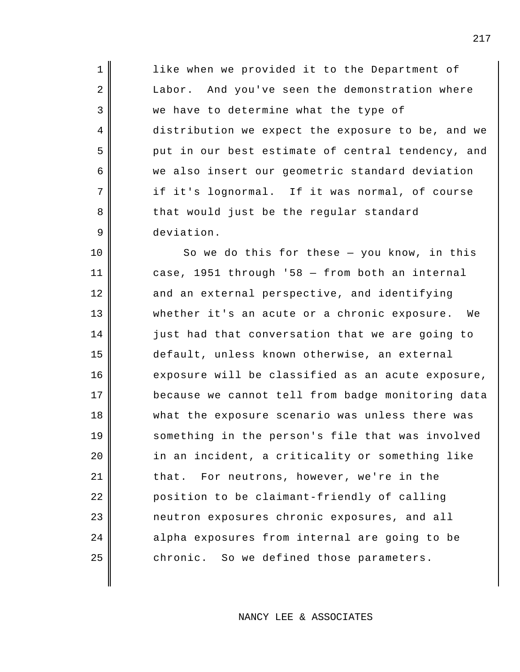$2$  Labor. 7 if it's lognormal. If it was normal, of course like when we provided it to the Department of And you've seen the demonstration where we have to determine what the type of distribution we expect the exposure to be, and we put in our best estimate of central tendency, and we also insert our geometric standard deviation that would just be the regular standard deviation.

1

3

4

5

6

8

9

10 11 12 13 whether it's an acute or a chronic exposure. We 14 15 16 17 18 19 20  $21$  that. 22 23 24 25 chronic. So we defined those parameters. So we do this for these  $-$  you know, in this case, 1951 through '58 — from both an internal and an external perspective, and identifying just had that conversation that we are going to default, unless known otherwise, an external exposure will be classified as an acute exposure, because we cannot tell from badge monitoring data what the exposure scenario was unless there was something in the person's file that was involved in an incident, a criticality or something like For neutrons, however, we're in the position to be claimant-friendly of calling neutron exposures chronic exposures, and all alpha exposures from internal are going to be

NANCY LEE & ASSOCIATES

 $\overline{\phantom{a}}$ 

 $\overline{\phantom{a}}$ 

 $\overline{\phantom{a}}$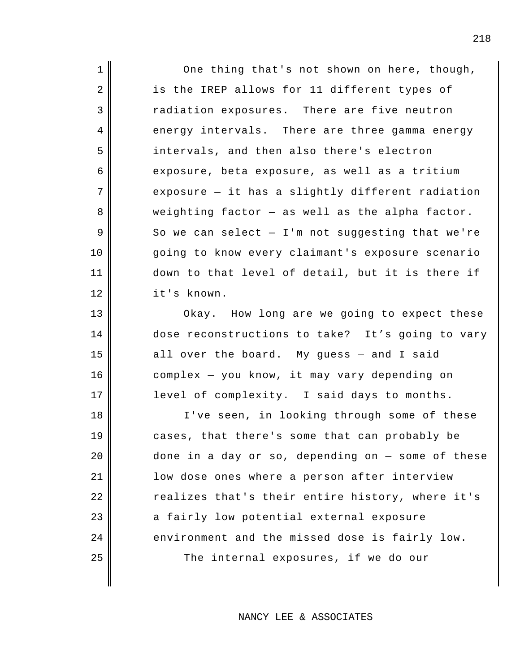3 radiation exposures. 4 energy intervals. There are three gamma energy One thing that's not shown on here, though, is the IREP allows for 11 different types of There are five neutron intervals, and then also there's electron exposure, beta exposure, as well as a tritium exposure — it has a slightly different radiation weighting factor — as well as the alpha factor. So we can select  $-$  I'm not suggesting that we're going to know every claimant's exposure scenario down to that level of detail, but it is there if it's known.

1

2

5

6

7

8

9

10

11

12

16

 Okay. How long are we going to expect these dose reconstructions to take? It's going to vary all over the board. My guess — and I said level of complexity. I said days to months. complex — you know, it may vary depending on

18 19 20 21 22 23 24 environment and the missed dose is fairly low. 25 I've seen, in looking through some of these cases, that there's some that can probably be done in a day or so, depending on — some of these low dose ones where a person after interview realizes that's their entire history, where it's a fairly low potential external exposure The internal exposures, if we do our

NANCY LEE & ASSOCIATES

 $\overline{\phantom{a}}$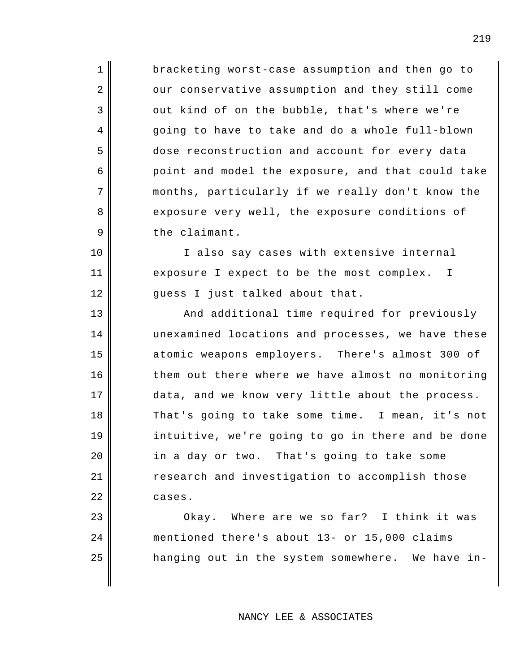9 | the claimant. bracketing worst-case assumption and then go to our conservative assumption and they still come out kind of on the bubble, that's where we're going to have to take and do a whole full-blown dose reconstruction and account for every data point and model the exposure, and that could take months, particularly if we really don't know the exposure very well, the exposure conditions of

1

2

3

4

5

6

7

8

10

12

11 exposure I expect to be the most complex. I I also say cases with extensive internal guess I just talked about that.

13 14 15 atomic weapons employers. There's almost 300 of 16 17 18 That's going to take some time. I mean, it's not 19  $20$  |  $\quad$  in a day or two. 21 22 And additional time required for previously unexamined locations and processes, we have these them out there where we have almost no monitoring data, and we know very little about the process. intuitive, we're going to go in there and be done That's going to take some research and investigation to accomplish those cases.

23 Okay. Where are we so far? I think it was 24 25 hanging out in the system somewhere. We have inmentioned there's about 13- or 15,000 claims

NANCY LEE & ASSOCIATES

 $\overline{\phantom{a}}$ 

 $\overline{\phantom{a}}$ 

 $\overline{\phantom{a}}$ 

 $\overline{\phantom{a}}$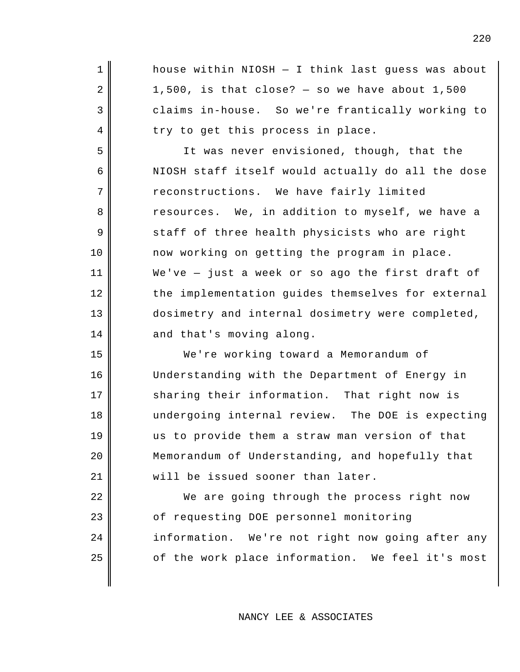1 2 3 claims in-house. So we're frantically working to 4 5 6 7 reconstructions. We have fairly limited 8 Tesources. We, in addition to myself, we have a 9 10 11 12 13 14 and that's moving along. 15 16 17 sharing their information. That right now is 18 undergoing internal review. The DOE is expecting 19 20 21 22 23 24 | information. We're not right now going after any 25 | Of the work place information. We feel it's most house within NIOSH — I think last guess was about  $1,500$ , is that close? - so we have about  $1,500$ try to get this process in place. It was never envisioned, though, that the NIOSH staff itself would actually do all the dose staff of three health physicists who are right now working on getting the program in place. We've — just a week or so ago the first draft of the implementation guides themselves for external dosimetry and internal dosimetry were completed, We're working toward a Memorandum of Understanding with the Department of Energy in us to provide them a straw man version of that Memorandum of Understanding, and hopefully that will be issued sooner than later. We are going through the process right now of requesting DOE personnel monitoring

NANCY LEE & ASSOCIATES

 $\overline{\phantom{a}}$ 

 $\overline{\phantom{a}}$ 

 $\overline{\phantom{a}}$ 

 $\overline{\phantom{a}}$ 

 $\overline{\phantom{a}}$ 

 $\overline{\phantom{a}}$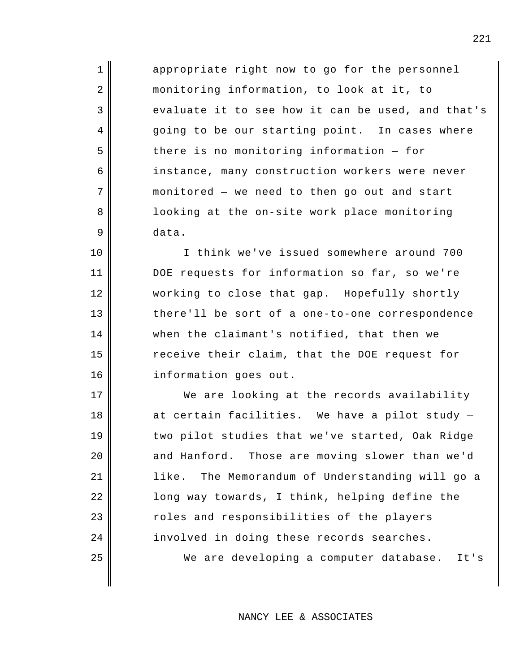4 going to be our starting point. In cases where appropriate right now to go for the personnel monitoring information, to look at it, to evaluate it to see how it can be used, and that's there is no monitoring information — for instance, many construction workers were never monitored — we need to then go out and start looking at the on-site work place monitoring data.

1

2

3

5

6

7

8

9

10

11

13

14

15

16

17

19

22

23

24

12 working to close that gap. Hopefully shortly I think we've issued somewhere around 700 DOE requests for information so far, so we're there'll be sort of a one-to-one correspondence when the claimant's notified, that then we receive their claim, that the DOE request for information goes out.

18 at certain facilities. We have a pilot study — 20 and Hanford.  $21$   $\parallel$   $1$   $\text{like}$ . 25 We are developing a computer database. It's We are looking at the records availability two pilot studies that we've started, Oak Ridge Those are moving slower than we'd The Memorandum of Understanding will go a long way towards, I think, helping define the roles and responsibilities of the players involved in doing these records searches.

NANCY LEE & ASSOCIATES

221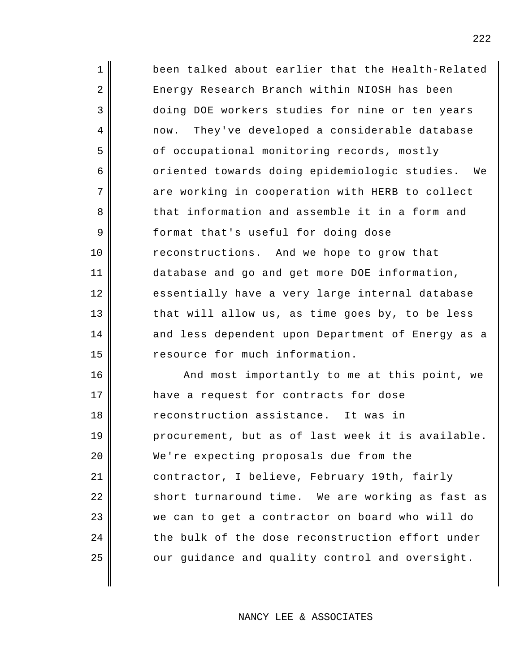| $\mathbf 1$ | been talked about earlier that the Health-Related |
|-------------|---------------------------------------------------|
| 2           | Energy Research Branch within NIOSH has been      |
| 3           | doing DOE workers studies for nine or ten years   |
| 4           | now. They've developed a considerable database    |
| 5           | of occupational monitoring records, mostly        |
| 6           | oriented towards doing epidemiologic studies. We  |
| 7           | are working in cooperation with HERB to collect   |
| 8           | that information and assemble it in a form and    |
| 9           | format that's useful for doing dose               |
| 10          | reconstructions. And we hope to grow that         |
| 11          | database and go and get more DOE information,     |
| 12          | essentially have a very large internal database   |
| 13          | that will allow us, as time goes by, to be less   |
| 14          | and less dependent upon Department of Energy as a |
| 15          | resource for much information.                    |
| 16          | And most importantly to me at this point, we      |
| 17          | have a request for contracts for dose             |
| 18          | reconstruction assistance. It was in              |
| 19          | procurement, but as of last week it is available. |
| 20          | We're expecting proposals due from the            |
| 21          | contractor, I believe, February 19th, fairly      |
| 22          | short turnaround time. We are working as fast as  |
| 23          | we can to get a contractor on board who will do   |
| 24          | the bulk of the dose reconstruction effort under  |

our guidance and quality control and oversight.

25

## NANCY LEE & ASSOCIATES

222

 $\overline{\phantom{a}}$ 

 $\overline{\phantom{a}}$ 

 $\overline{\phantom{a}}$ 

 $\overline{\phantom{a}}$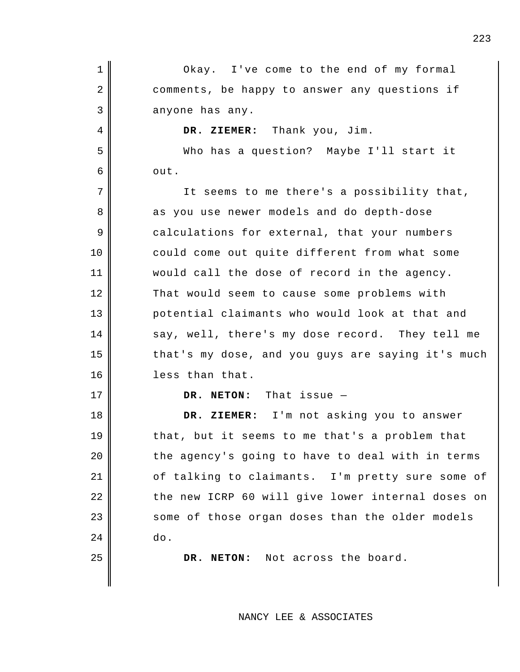1 Okay. I've come to the end of my formal 2 3 4 **| DR. ZIEMER:** 5 Who has a question? Maybe I'll start it 6 7 8 9 10 11 12 13 14 say, well, there's my dose record. They tell me 15 16 17 **| DR. NETON:** 18 **DR. ZIEMER:** I'm not asking you to answer 19 20 21 | Of talking to claimants. I'm pretty sure some of 22 23 24 25 **| DR. NETON:** comments, be happy to answer any questions if anyone has any. Thank you, Jim. out. It seems to me there's a possibility that, as you use newer models and do depth-dose calculations for external, that your numbers could come out quite different from what some would call the dose of record in the agency. That would seem to cause some problems with potential claimants who would look at that and that's my dose, and you guys are saying it's much less than that. That issue that, but it seems to me that's a problem that the agency's going to have to deal with in terms the new ICRP 60 will give lower internal doses on some of those organ doses than the older models do. Not across the board.

NANCY LEE & ASSOCIATES

223

 $\overline{\phantom{a}}$ 

 $\overline{\phantom{a}}$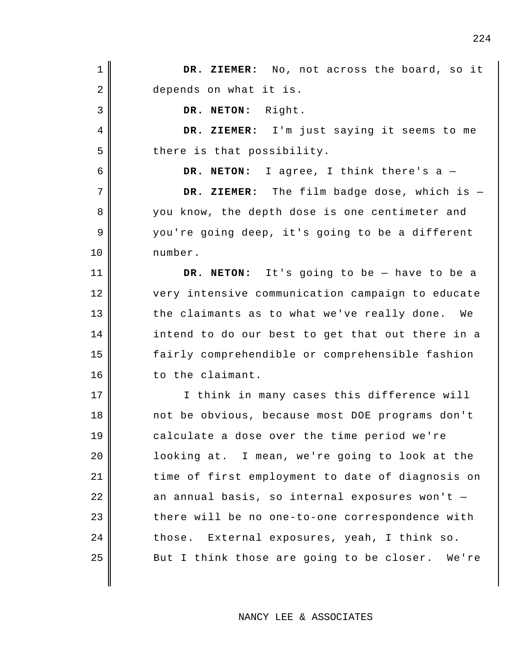| $\mathbf 1$ | DR. ZIEMER: No, not across the board, so it      |
|-------------|--------------------------------------------------|
| 2           | depends on what it is.                           |
| 3           | DR. NETON: Right.                                |
| 4           | DR. ZIEMER: I'm just saying it seems to me       |
| 5           | there is that possibility.                       |
| 6           | DR. NETON: I agree, I think there's $a -$        |
| 7           | DR. ZIEMER: The film badge dose, which is -      |
| 8           | you know, the depth dose is one centimeter and   |
| 9           | you're going deep, it's going to be a different  |
| 10          | number.                                          |
| 11          | DR. NETON: It's going to be - have to be a       |
| 12          | very intensive communication campaign to educate |
| 13          | the claimants as to what we've really done. We   |
| 14          | intend to do our best to get that out there in a |
| 15          | fairly comprehendible or comprehensible fashion  |
| 16          | to the claimant.                                 |
| 17          | I think in many cases this difference will       |
| 18          | not be obvious, because most DOE programs don't  |
| 19          | calculate a dose over the time period we're      |
| 20          | looking at. I mean, we're going to look at the   |
| 21          | time of first employment to date of diagnosis on |
| 22          | an annual basis, so internal exposures won't -   |
| 23          | there will be no one-to-one correspondence with  |
| 24          | those. External exposures, yeah, I think so.     |
| 25          | But I think those are going to be closer. We're  |

NANCY LEE & ASSOCIATES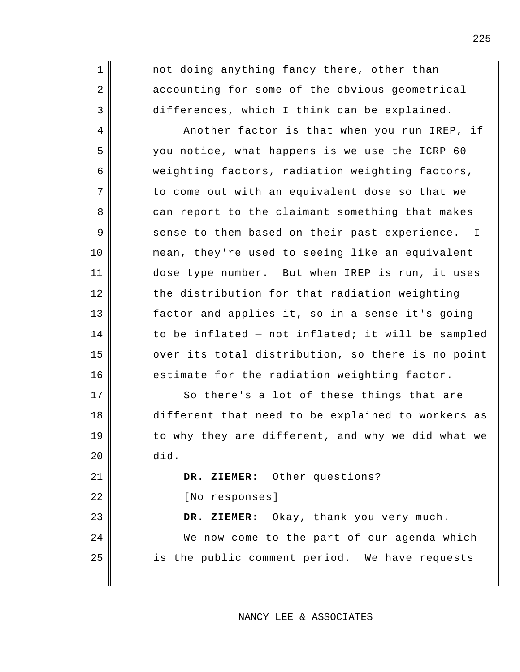not doing anything fancy there, other than accounting for some of the obvious geometrical differences, which I think can be explained.

1

2

3

4

5

6

7

8

10

12

13

14

15

17

18

19

20

22

24

9 Sense to them based on their past experience. I 11 dose type number. But when IREP is run, it uses 16 | estimate for the radiation weighting factor. Another factor is that when you run IREP, if you notice, what happens is we use the ICRP 60 weighting factors, radiation weighting factors, to come out with an equivalent dose so that we can report to the claimant something that makes mean, they're used to seeing like an equivalent the distribution for that radiation weighting factor and applies it, so in a sense it's going to be inflated — not inflated; it will be sampled over its total distribution, so there is no point

> So there's a lot of these things that are different that need to be explained to workers as to why they are different, and why we did what we did.

21 | DR. ZIEMER: Other questions? [No responses]

23 **DR. ZIEMER:** Okay, thank you very much. We now come to the part of our agenda which

25 | is the public comment period. We have requests

## NANCY LEE & ASSOCIATES

225

 $\overline{\phantom{a}}$ 

 $\overline{\phantom{a}}$ 

 $\overline{\phantom{a}}$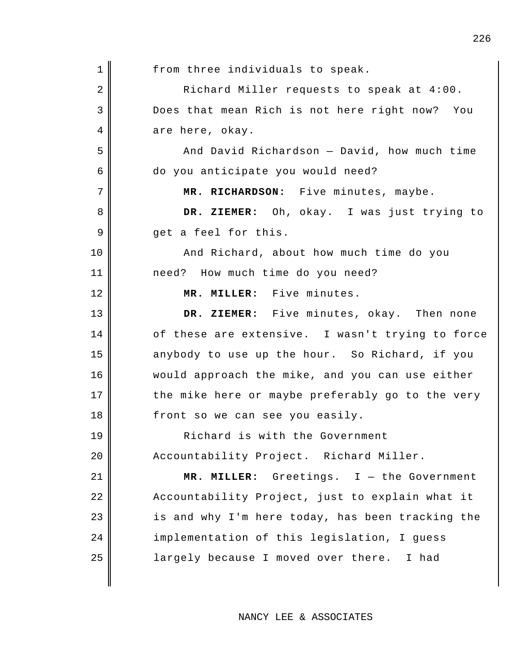| $\mathbf 1$    | from three individuals to speak.                 |
|----------------|--------------------------------------------------|
| $\overline{2}$ | Richard Miller requests to speak at 4:00.        |
| 3              | Does that mean Rich is not here right now? You   |
| 4              | are here, okay.                                  |
| 5              | And David Richardson - David, how much time      |
| 6              | do you anticipate you would need?                |
| 7              | MR. RICHARDSON: Five minutes, maybe.             |
| 8              | DR. ZIEMER: Oh, okay. I was just trying to       |
| 9              | get a feel for this.                             |
| 10             | And Richard, about how much time do you          |
| 11             | need? How much time do you need?                 |
| 12             | MR. MILLER: Five minutes.                        |
| 13             | DR. ZIEMER: Five minutes, okay. Then none        |
| 14             | of these are extensive. I wasn't trying to force |
| 15             | anybody to use up the hour. So Richard, if you   |
| 16             | would approach the mike, and you can use either  |
| 17             | the mike here or maybe preferably go to the very |
| 18             | front so we can see you easily.                  |
| 19             | Richard is with the Government                   |
| 20             | Accountability Project. Richard Miller.          |
| 21             | MR. MILLER: Greetings. I - the Government        |
| 22             | Accountability Project, just to explain what it  |
| 23             | is and why I'm here today, has been tracking the |
| 24             | implementation of this legislation, I guess      |
| 25             | largely because I moved over there. I had        |
|                |                                                  |

NANCY LEE & ASSOCIATES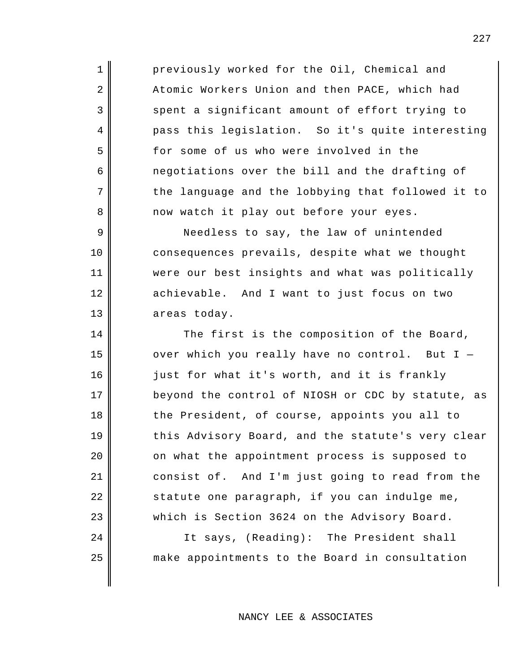4 pass this legislation. previously worked for the Oil, Chemical and Atomic Workers Union and then PACE, which had spent a significant amount of effort trying to So it's quite interesting for some of us who were involved in the negotiations over the bill and the drafting of the language and the lobbying that followed it to now watch it play out before your eyes.

1

2

3

5

6

7

8

9

10

11

13

25

12 achievable. And I want to just focus on two Needless to say, the law of unintended consequences prevails, despite what we thought were our best insights and what was politically areas today.

14 15 over which you really have no control. But I — 16 17 18 19 20 21 consist of. 22 23 The first is the composition of the Board, just for what it's worth, and it is frankly beyond the control of NIOSH or CDC by statute, as the President, of course, appoints you all to this Advisory Board, and the statute's very clear on what the appointment process is supposed to And I'm just going to read from the statute one paragraph, if you can indulge me, which is Section 3624 on the Advisory Board.

24 It says, (Reading): The President shall make appointments to the Board in consultation

## NANCY LEE & ASSOCIATES

227

 $\overline{\phantom{a}}$ 

 $\overline{\phantom{a}}$ 

 $\overline{\phantom{a}}$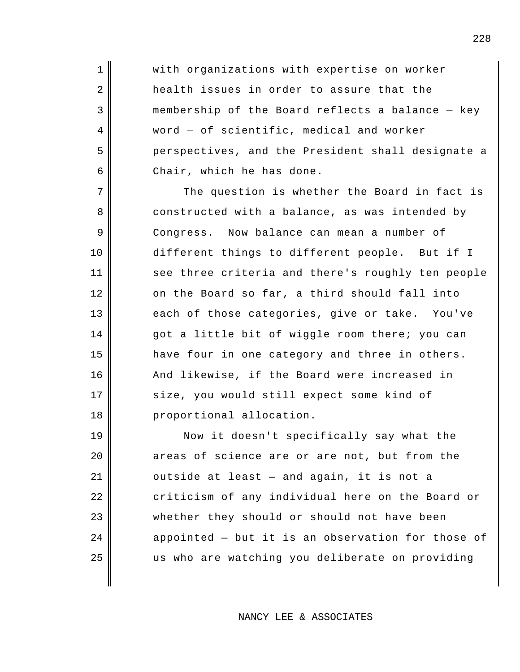with organizations with expertise on worker health issues in order to assure that the membership of the Board reflects a balance — key word — of scientific, medical and worker perspectives, and the President shall designate a Chair, which he has done.

1

2

3

4

5

6

7

8

11

12

14

15

16

17

18

9 Congress. 10 different things to different people. But if I 13 each of those categories, give or take. You've The question is whether the Board in fact is constructed with a balance, as was intended by Now balance can mean a number of see three criteria and there's roughly ten people on the Board so far, a third should fall into got a little bit of wiggle room there; you can have four in one category and three in others. And likewise, if the Board were increased in size, you would still expect some kind of proportional allocation.

19 20 21 22 23 24 25 Now it doesn't specifically say what the areas of science are or are not, but from the outside at least — and again, it is not a criticism of any individual here on the Board or whether they should or should not have been appointed — but it is an observation for those of us who are watching you deliberate on providing

NANCY LEE & ASSOCIATES

 $\overline{\phantom{a}}$ 

 $\overline{\phantom{a}}$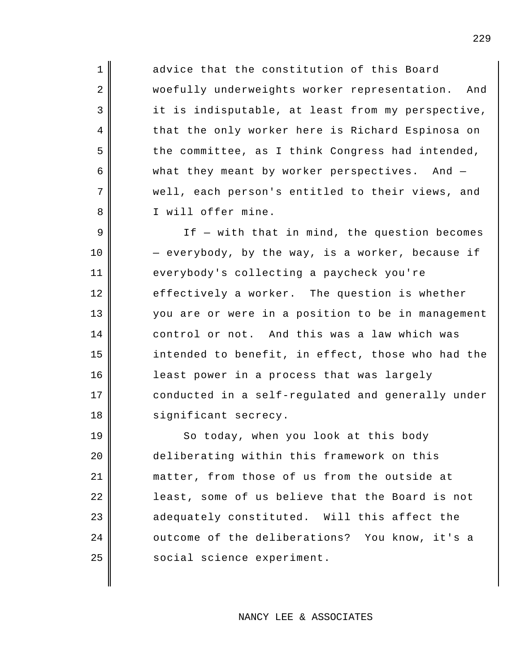2 | woefully underweights worker representation. And 6 what they meant by worker perspectives. And advice that the constitution of this Board it is indisputable, at least from my perspective, that the only worker here is Richard Espinosa on the committee, as I think Congress had intended, well, each person's entitled to their views, and I will offer mine.

1

3

4

5

7

8

9

10

11

13

15

16

17

18

12 effectively a worker. The question is whether 14 control or not. And this was a law which was If — with that in mind, the question becomes — everybody, by the way, is a worker, because if everybody's collecting a paycheck you're you are or were in a position to be in management intended to benefit, in effect, those who had the least power in a process that was largely conducted in a self-regulated and generally under significant secrecy.

19 20 21 22 23 adequately constituted. Will this affect the 24 | outcome of the deliberations? You know, it's a 25 So today, when you look at this body deliberating within this framework on this matter, from those of us from the outside at least, some of us believe that the Board is not social science experiment.

NANCY LEE & ASSOCIATES

 $\overline{\phantom{a}}$ 

 $\overline{\phantom{a}}$ 

 $\overline{\phantom{a}}$ 

 $\overline{\phantom{a}}$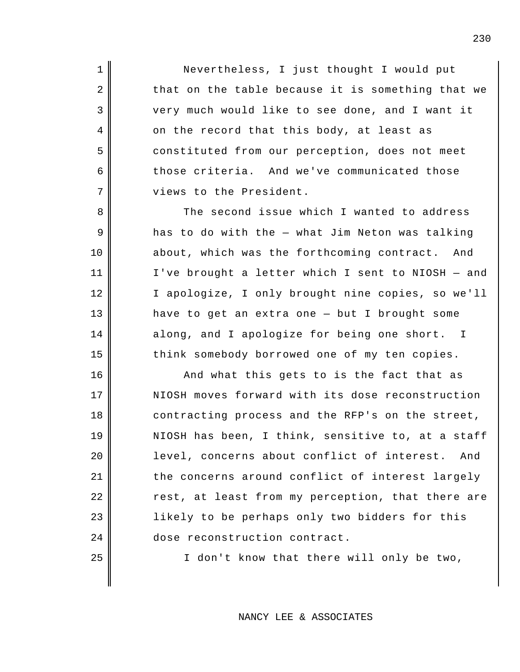6 those criteria. And we've communicated those Nevertheless, I just thought I would put that on the table because it is something that we very much would like to see done, and I want it on the record that this body, at least as constituted from our perception, does not meet views to the President.

1

2

3

4

5

7

8

9

11

12

13

15

25

10 about, which was the forthcoming contract. And 14 along, and I apologize for being one short. I The second issue which I wanted to address has to do with the — what Jim Neton was talking I've brought a letter which I sent to NIOSH — and I apologize, I only brought nine copies, so we'll have to get an extra one — but I brought some think somebody borrowed one of my ten copies.

16 17 18 19 20 level, concerns about conflict of interest. And 21 22 23 24 dose reconstruction contract. And what this gets to is the fact that as NIOSH moves forward with its dose reconstruction contracting process and the RFP's on the street, NIOSH has been, I think, sensitive to, at a staff the concerns around conflict of interest largely rest, at least from my perception, that there are likely to be perhaps only two bidders for this

I don't know that there will only be two,

NANCY LEE & ASSOCIATES

230

 $\overline{\phantom{a}}$ 

 $\overline{\phantom{a}}$ 

 $\overline{\phantom{a}}$ 

 $\overline{\phantom{a}}$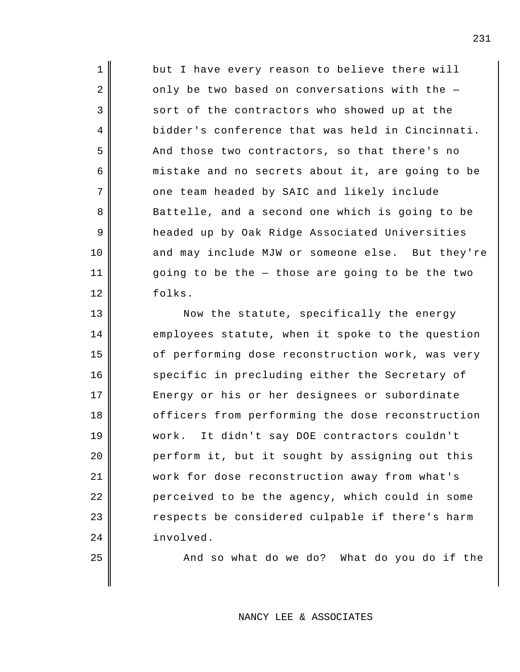10 and may include MJW or someone else. But they're but I have every reason to believe there will only be two based on conversations with the sort of the contractors who showed up at the bidder's conference that was held in Cincinnati. And those two contractors, so that there's no mistake and no secrets about it, are going to be one team headed by SAIC and likely include Battelle, and a second one which is going to be headed up by Oak Ridge Associated Universities going to be the — those are going to be the two folks.

1

2

3

4

5

6

7

8

9

11

12

13

14

15

16

17

18

20

21

22

23

24

 $19$  work. Now the statute, specifically the energy employees statute, when it spoke to the question of performing dose reconstruction work, was very specific in precluding either the Secretary of Energy or his or her designees or subordinate officers from performing the dose reconstruction It didn't say DOE contractors couldn't perform it, but it sought by assigning out this work for dose reconstruction away from what's perceived to be the agency, which could in some respects be considered culpable if there's harm involved.

25 And so what do we do? What do you do if the

NANCY LEE & ASSOCIATES

231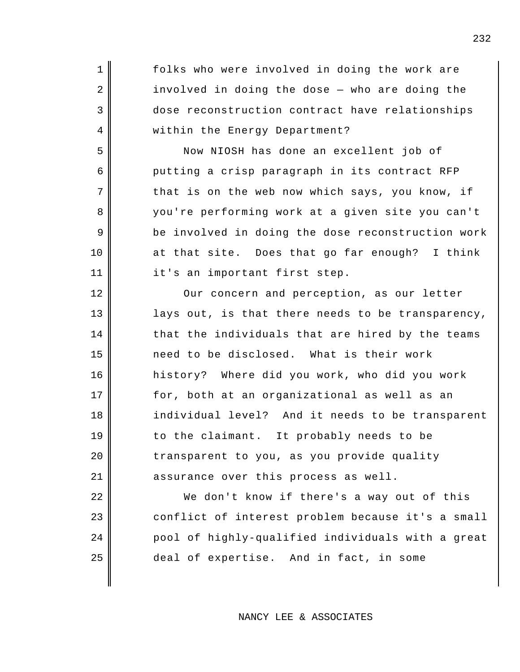| $\mathbf 1$    | folks who were involved in doing the work are     |
|----------------|---------------------------------------------------|
| $\overline{2}$ | involved in doing the dose - who are doing the    |
| 3              | dose reconstruction contract have relationships   |
| 4              | within the Energy Department?                     |
| 5              | Now NIOSH has done an excellent job of            |
| 6              | putting a crisp paragraph in its contract RFP     |
| 7              | that is on the web now which says, you know, if   |
| 8              | you're performing work at a given site you can't  |
| 9              | be involved in doing the dose reconstruction work |
| 10             | at that site. Does that go far enough? I think    |
| 11             | it's an important first step.                     |
| 12             | Our concern and perception, as our letter         |
| 13             | lays out, is that there needs to be transparency, |
| 14             | that the individuals that are hired by the teams  |
| 15             | need to be disclosed. What is their work          |
| 16             | history? Where did you work, who did you work     |
| 17             | for, both at an organizational as well as an      |
| 18             | individual level? And it needs to be transparent  |
| 19             | to the claimant. It probably needs to be          |
| 20             | transparent to you, as you provide quality        |
| 21             | assurance over this process as well.              |
| 22             | We don't know if there's a way out of this        |
| 23             | conflict of interest problem because it's a small |
| 24             | pool of highly-qualified individuals with a great |
| 25             | deal of expertise. And in fact, in some           |

NANCY LEE & ASSOCIATES

232

 $\overline{\phantom{a}}$ 

 $\overline{\phantom{a}}$ 

 $\overline{\phantom{a}}$ 

 $\overline{\phantom{a}}$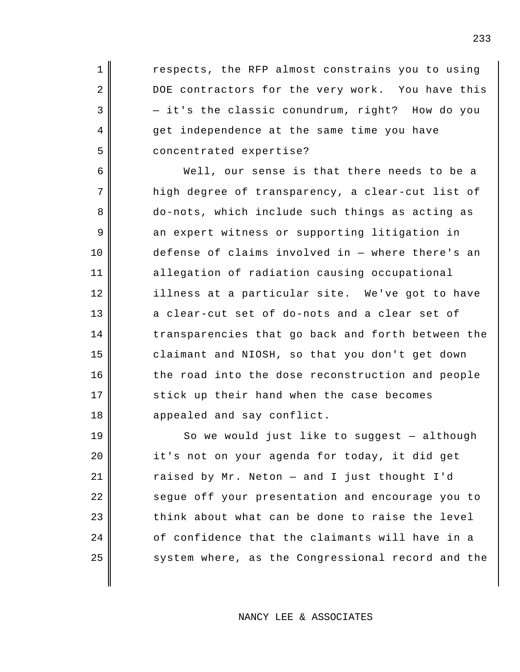1 2 DOE contractors for the very work. You have this 3 — it's the classic conundrum, right? How do you 4 5 6 7 8 9 10 11 12 illness at a particular site. We've got to have 13 14 15 16 17 18 19 20 21 respects, the RFP almost constrains you to using get independence at the same time you have concentrated expertise? Well, our sense is that there needs to be a high degree of transparency, a clear-cut list of do-nots, which include such things as acting as an expert witness or supporting litigation in defense of claims involved in — where there's an allegation of radiation causing occupational a clear-cut set of do-nots and a clear set of transparencies that go back and forth between the claimant and NIOSH, so that you don't get down the road into the dose reconstruction and people stick up their hand when the case becomes appealed and say conflict. So we would just like to suggest — although it's not on your agenda for today, it did get raised by Mr. Neton — and I just thought I'd

segue off your presentation and encourage you to think about what can be done to raise the level of confidence that the claimants will have in a system where, as the Congressional record and the

 $2.2<sub>2</sub>$ 

23

24

25

NANCY LEE & ASSOCIATES

233

 $\overline{\phantom{a}}$ 

 $\overline{\phantom{a}}$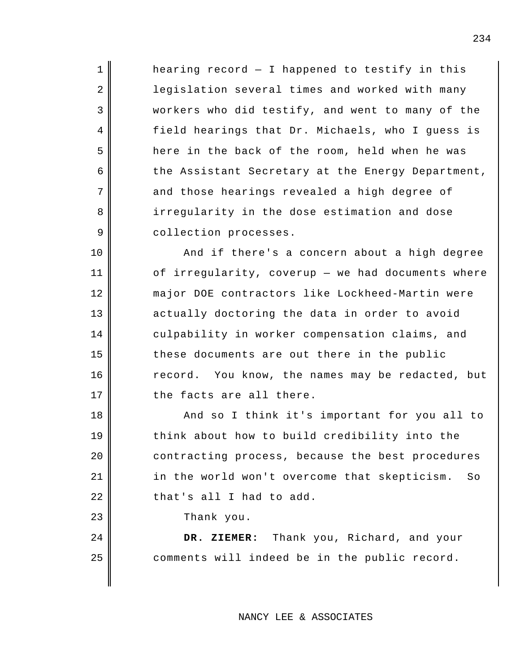9 | collection processes. hearing record  $-$  I happened to testify in this legislation several times and worked with many workers who did testify, and went to many of the field hearings that Dr. Michaels, who I guess is here in the back of the room, held when he was the Assistant Secretary at the Energy Department, and those hearings revealed a high degree of irregularity in the dose estimation and dose

16 record. You know, the names may be redacted, but And if there's a concern about a high degree of irregularity, coverup — we had documents where major DOE contractors like Lockheed-Martin were actually doctoring the data in order to avoid culpability in worker compensation claims, and these documents are out there in the public the facts are all there.

21 in the world won't overcome that skepticism. So 22 **that's all I had to add.** And so I think it's important for you all to think about how to build credibility into the contracting process, because the best procedures

Thank you.

1

2

3

4

5

6

7

8

10

11

12

13

14

15

17

18

19

20

23

24 **DR. ZIEMER:** Thank you, Richard, and your 25 comments will indeed be in the public record.

NANCY LEE & ASSOCIATES

 $\overline{\phantom{a}}$ 

 $\overline{\phantom{a}}$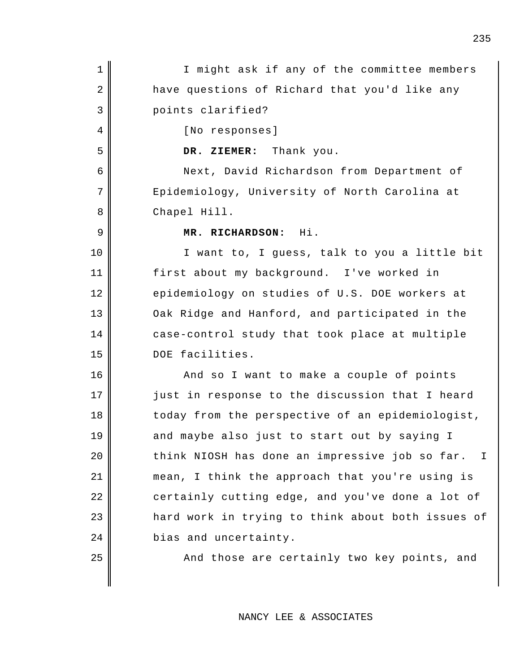1 2 3 points clarified? 4 5 **DR. ZIEMER:** Thank you. 6 7 8 9 **MR. RICHARDSON:** Hi. 10 11 first about my background. I've worked in 12 13 14 15 DOE facilities. 16 17 18 19 20 think NIOSH has done an impressive job so far. 21 22 23 24 bias and uncertainty. 25 I might ask if any of the committee members have questions of Richard that you'd like any [No responses] Next, David Richardson from Department of Epidemiology, University of North Carolina at Chapel Hill. I want to, I guess, talk to you a little bit epidemiology on studies of U.S. DOE workers at Oak Ridge and Hanford, and participated in the case-control study that took place at multiple And so I want to make a couple of points just in response to the discussion that I heard today from the perspective of an epidemiologist, and maybe also just to start out by saying I I mean, I think the approach that you're using is certainly cutting edge, and you've done a lot of hard work in trying to think about both issues of And those are certainly two key points, and

NANCY LEE & ASSOCIATES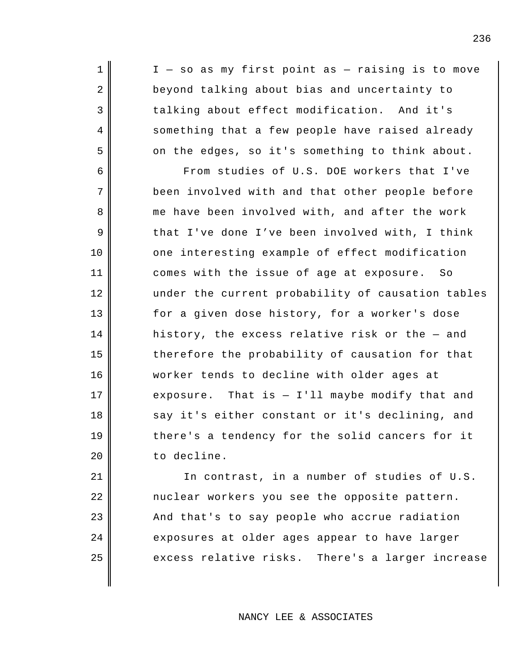1 | I - so as my first point as - raising is to move 3 talking about effect modification. And it's beyond talking about bias and uncertainty to something that a few people have raised already on the edges, so it's something to think about.

2

4

5

6

7

8

9

10

12

13

14

15

16

18

19

20

11 comes with the issue of age at exposure. So  $17$  exposure. From studies of U.S. DOE workers that I've been involved with and that other people before me have been involved with, and after the work that I've done I've been involved with, I think one interesting example of effect modification under the current probability of causation tables for a given dose history, for a worker's dose history, the excess relative risk or the  $-$  and therefore the probability of causation for that worker tends to decline with older ages at That is  $-$  I'll maybe modify that and say it's either constant or it's declining, and there's a tendency for the solid cancers for it to decline.

21 22 23 24 25 excess relative risks. In contrast, in a number of studies of U.S. nuclear workers you see the opposite pattern. And that's to say people who accrue radiation exposures at older ages appear to have larger There's a larger increase

NANCY LEE & ASSOCIATES

 $\overline{\phantom{a}}$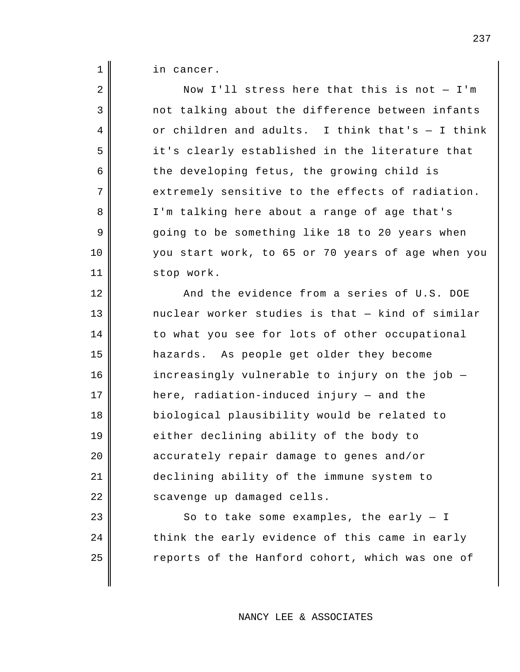1 in cancer.

| $\overline{2}$ | Now I'll stress here that this is not $-$ I'm      |
|----------------|----------------------------------------------------|
| 3              | not talking about the difference between infants   |
| 4              | or children and adults. I think that's $-$ I think |
| 5              | it's clearly established in the literature that    |
| 6              | the developing fetus, the growing child is         |
| 7              | extremely sensitive to the effects of radiation.   |
| 8              | I'm talking here about a range of age that's       |
| 9              | going to be something like 18 to 20 years when     |
| 10             | you start work, to 65 or 70 years of age when you  |
| 11             | stop work.                                         |
| 12             | And the evidence from a series of U.S. DOE         |
| 13             | nuclear worker studies is that - kind of similar   |
| 14             | to what you see for lots of other occupational     |
| 15             | hazards. As people get older they become           |
| 16             | increasingly vulnerable to injury on the job -     |
| 17             | here, radiation-induced injury - and the           |
| 18             | biological plausibility would be related to        |
| 19             | either declining ability of the body to            |
| 20             | accurately repair damage to genes and/or           |
| 21             | declining ability of the immune system to          |
| 22             | scavenge up damaged cells.                         |
| 23             | So to take some examples, the early $-$ I          |
| 24             | think the early evidence of this came in early     |
| 25             | reports of the Hanford cohort, which was one of    |
|                |                                                    |

237

 $\overline{\phantom{a}}$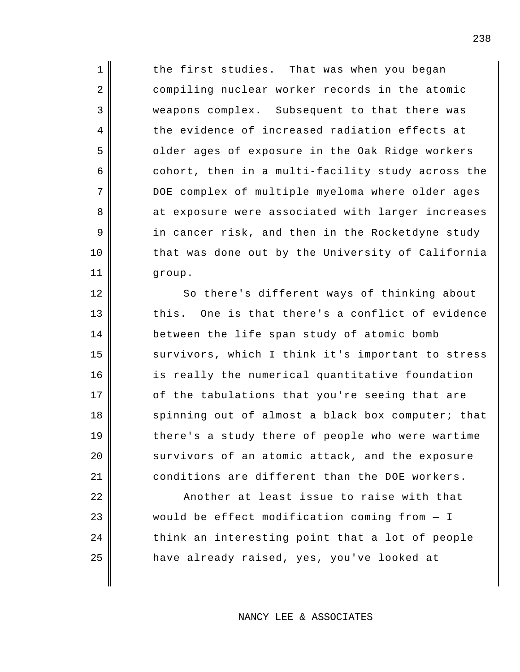$1$  the first studies. 3 weapons complex. Subsequent to that there was That was when you began compiling nuclear worker records in the atomic the evidence of increased radiation effects at older ages of exposure in the Oak Ridge workers cohort, then in a multi-facility study across the DOE complex of multiple myeloma where older ages at exposure were associated with larger increases in cancer risk, and then in the Rocketdyne study that was done out by the University of California group.

2

4

5

6

7

8

9

10

11

12

14

15

16

17

18

19

20

21

22

23

24

25

 $13$  this. So there's different ways of thinking about One is that there's a conflict of evidence between the life span study of atomic bomb survivors, which I think it's important to stress is really the numerical quantitative foundation of the tabulations that you're seeing that are spinning out of almost a black box computer; that there's a study there of people who were wartime survivors of an atomic attack, and the exposure conditions are different than the DOE workers.

Another at least issue to raise with that would be effect modification coming from — I think an interesting point that a lot of people have already raised, yes, you've looked at

 $\overline{\phantom{a}}$ 

 $\overline{\phantom{a}}$ 

 $\overline{\phantom{a}}$ 

 $\overline{\phantom{a}}$ 

 $\overline{\phantom{a}}$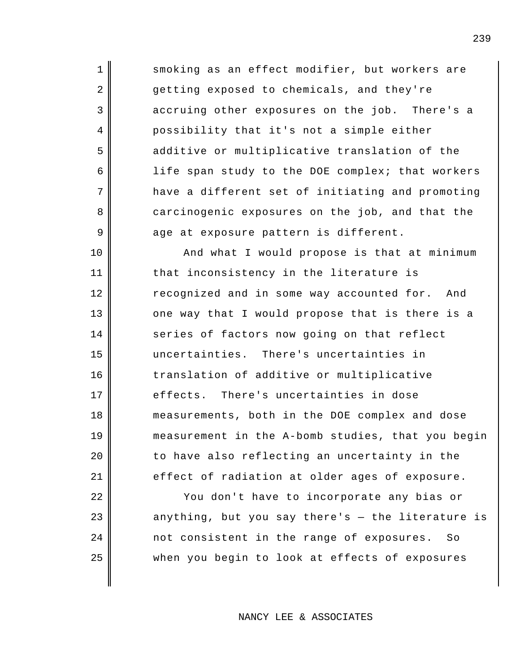3 accruing other exposures on the job. There's a smoking as an effect modifier, but workers are getting exposed to chemicals, and they're possibility that it's not a simple either additive or multiplicative translation of the life span study to the DOE complex; that workers have a different set of initiating and promoting carcinogenic exposures on the job, and that the age at exposure pattern is different.

1

2

4

5

6

7

8

9

10

11

13

14

16

18

19

20

21

12 recognized and in some way accounted for. And 15 uncertainties. There's uncertainties in  $17 \parallel$  effects. And what I would propose is that at minimum that inconsistency in the literature is one way that I would propose that is there is a series of factors now going on that reflect translation of additive or multiplicative There's uncertainties in dose measurements, both in the DOE complex and dose measurement in the A-bomb studies, that you begin to have also reflecting an uncertainty in the effect of radiation at older ages of exposure.

22 23 24 mot consistent in the range of exposures. So 25 You don't have to incorporate any bias or anything, but you say there's — the literature is when you begin to look at effects of exposures

NANCY LEE & ASSOCIATES

 $\overline{\phantom{a}}$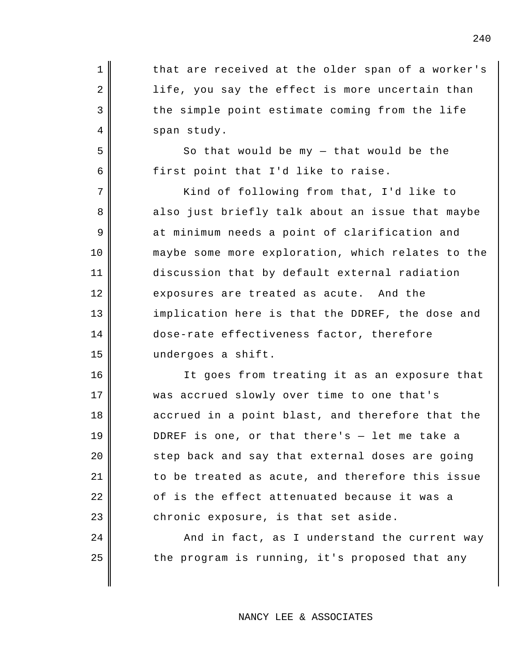1 2 3 4 5 6 first point that I'd like to raise. 7 8 9 10 11 12 exposures are treated as acute. And the 13 14 15 undergoes a shift. 16 17 18 19 20 21  $2.2<sub>2</sub>$ 23 chronic exposure, is that set aside. 24 25 that are received at the older span of a worker's life, you say the effect is more uncertain than the simple point estimate coming from the life span study. So that would be my — that would be the Kind of following from that, I'd like to also just briefly talk about an issue that maybe at minimum needs a point of clarification and maybe some more exploration, which relates to the discussion that by default external radiation implication here is that the DDREF, the dose and dose-rate effectiveness factor, therefore It goes from treating it as an exposure that was accrued slowly over time to one that's accrued in a point blast, and therefore that the DDREF is one, or that there's — let me take a step back and say that external doses are going to be treated as acute, and therefore this issue of is the effect attenuated because it was a And in fact, as I understand the current way the program is running, it's proposed that any

 $\overline{\phantom{a}}$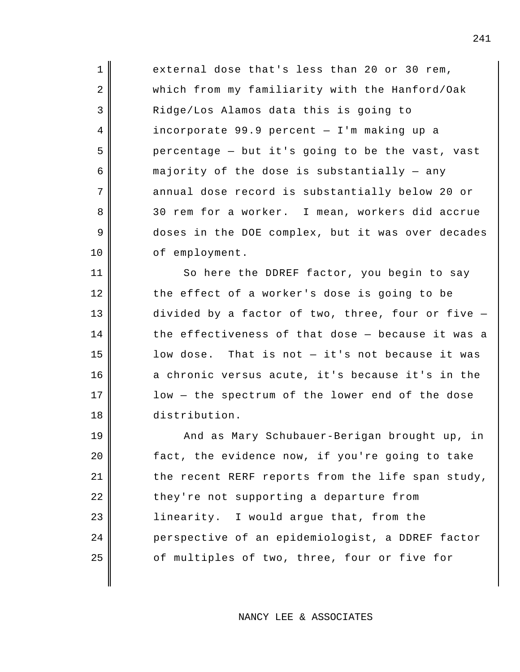8 30 rem for a worker. external dose that's less than 20 or 30 rem, which from my familiarity with the Hanford/Oak Ridge/Los Alamos data this is going to incorporate 99.9 percent — I'm making up a percentage — but it's going to be the vast, vast majority of the dose is substantially  $-$  any annual dose record is substantially below 20 or I mean, workers did accrue doses in the DOE complex, but it was over decades of employment.

1

2

3

4

5

6

7

9

10

11

12

13

14

16

17

15 low dose. 18 distribution. So here the DDREF factor, you begin to say the effect of a worker's dose is going to be divided by a factor of two, three, four or five the effectiveness of that dose — because it was a That is not  $-$  it's not because it was a chronic versus acute, it's because it's in the low — the spectrum of the lower end of the dose

19 20 21 22 23 linearity. I would argue that, from the 24 25 And as Mary Schubauer-Berigan brought up, in fact, the evidence now, if you're going to take the recent RERF reports from the life span study, they're not supporting a departure from perspective of an epidemiologist, a DDREF factor of multiples of two, three, four or five for

NANCY LEE & ASSOCIATES

 $\overline{\phantom{a}}$ 

 $\overline{\phantom{a}}$ 

 $\overline{\phantom{a}}$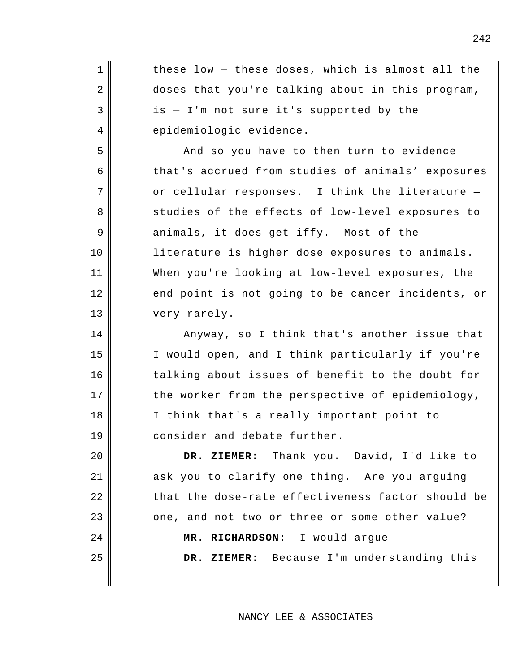| $\mathbf 1$ | these low - these doses, which is almost all the  |
|-------------|---------------------------------------------------|
| 2           | doses that you're talking about in this program,  |
| 3           | is - I'm not sure it's supported by the           |
| 4           | epidemiologic evidence.                           |
| 5           | And so you have to then turn to evidence          |
| 6           | that's accrued from studies of animals' exposures |
| 7           | or cellular responses. I think the literature -   |
| 8           | studies of the effects of low-level exposures to  |
| 9           | animals, it does get iffy. Most of the            |
| 10          | literature is higher dose exposures to animals.   |
| 11          | When you're looking at low-level exposures, the   |
| 12          | end point is not going to be cancer incidents, or |
| 13          | very rarely.                                      |
| 14          | Anyway, so I think that's another issue that      |
| 15          | I would open, and I think particularly if you're  |
| 16          | talking about issues of benefit to the doubt for  |
| 17          | the worker from the perspective of epidemiology,  |
| 18          | I think that's a really important point to        |
| 19          | consider and debate further.                      |
| 20          | DR. ZIEMER: Thank you. David, I'd like to         |
| 21          | ask you to clarify one thing. Are you arguing     |
| 22          | that the dose-rate effectiveness factor should be |
| 23          | one, and not two or three or some other value?    |
| 24          | MR. RICHARDSON: I would argue -                   |
| 25          | DR. ZIEMER: Because I'm understanding this        |

NANCY LEE & ASSOCIATES

 $\overline{\phantom{a}}$ 

 $\overline{\phantom{a}}$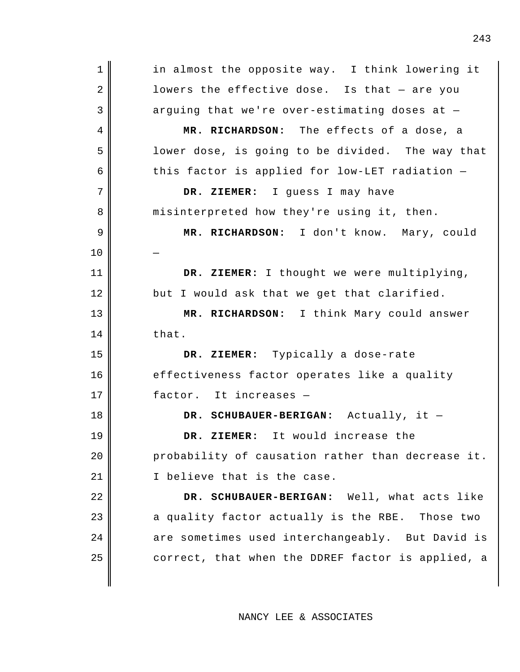| $\mathbf 1$ | in almost the opposite way. I think lowering it   |
|-------------|---------------------------------------------------|
| 2           | lowers the effective dose. Is that - are you      |
| 3           | arguing that we're over-estimating doses at -     |
| 4           | MR. RICHARDSON: The effects of a dose, a          |
| 5           | lower dose, is going to be divided. The way that  |
| 6           | this factor is applied for low-LET radiation -    |
| 7           | DR. ZIEMER: I guess I may have                    |
| 8           | misinterpreted how they're using it, then.        |
| 9           | MR. RICHARDSON: I don't know. Mary, could         |
| 10          |                                                   |
| 11          | DR. ZIEMER: I thought we were multiplying,        |
| 12          | but I would ask that we get that clarified.       |
| 13          | MR. RICHARDSON: I think Mary could answer         |
| 14          | that.                                             |
| 15          | DR. ZIEMER: Typically a dose-rate                 |
| 16          | effectiveness factor operates like a quality      |
| 17          | factor. It increases -                            |
| 18          | DR. SCHUBAUER-BERIGAN: Actually, it -             |
| 19          | DR. ZIEMER: It would increase the                 |
| 20          | probability of causation rather than decrease it. |
| 21          | I believe that is the case.                       |
| 22          | DR. SCHUBAUER-BERIGAN: Well, what acts like       |
| 23          | a quality factor actually is the RBE. Those two   |
| 24          | are sometimes used interchangeably. But David is  |
| 25          | correct, that when the DDREF factor is applied, a |
|             |                                                   |

NANCY LEE & ASSOCIATES

 $\overline{\phantom{a}}$ 

 $\overline{\phantom{a}}$ 

 $\overline{\phantom{a}}$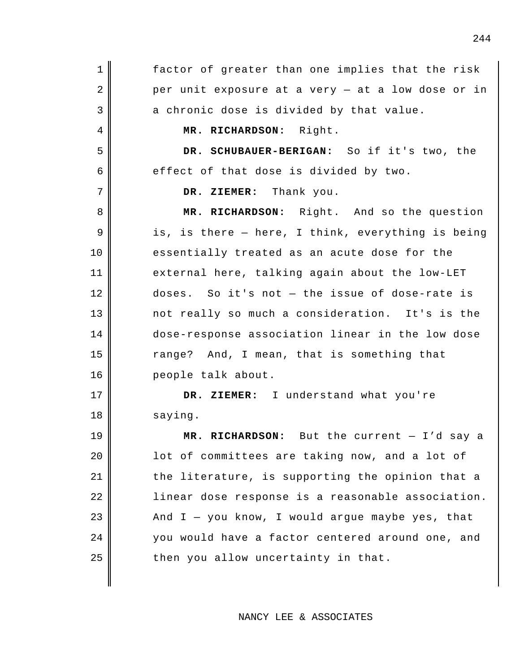1 2 3 4 **MR. RICHARDSON:** Right. 5 **DR. SCHUBAUER-BERIGAN:** So if it's two, the 6 7 **DR. ZIEMER:** Thank you. 8 **B MR. RICHARDSON:** 9 10 11  $12$  doses. 13 not really so much a consideration. It's is the 14 15 range? 16 17 **DR. ZIEMER:** I understand what you're 18 19 20 21 22 23 24 25 factor of greater than one implies that the risk per unit exposure at a very — at a low dose or in a chronic dose is divided by that value. effect of that dose is divided by two. Right. And so the question is, is there — here, I think, everything is being essentially treated as an acute dose for the external here, talking again about the low-LET So it's not  $-$  the issue of dose-rate is dose-response association linear in the low dose And, I mean, that is something that people talk about. saying. **MR. RICHARDSON:** But the current — I'd say a lot of committees are taking now, and a lot of the literature, is supporting the opinion that a linear dose response is a reasonable association. And  $I - you know, I would argue maybe yes, that$ you would have a factor centered around one, and then you allow uncertainty in that.

 $\overline{\phantom{a}}$ 

 $\overline{\phantom{a}}$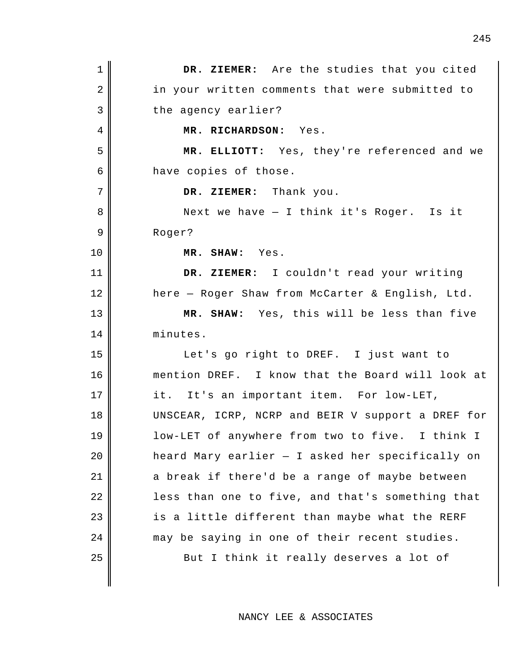1 **DR. ZIEMER:** Are the studies that you cited 2 3 4 **MR. RICHARDSON:** Yes. 5 **MR. ELLIOTT:** Yes, they're referenced and we 6 7 **DR. ZIEMER:** Thank you. 8 Next we have - I think it's Roger. Is it 9 10 **MR. SHAW:** Yes. 11 **DR. ZIEMER:** I couldn't read your writing 12 13 **MR. SHAW:** Yes, this will be less than five 14 minutes. 15 Let's go right to DREF. I just want to 16 mention DREF. I know that the Board will look at  $17 \parallel$  it. 18 19 low-LET of anywhere from two to five. I think I 20 21 22 23 24 may be saying in one of their recent studies. 25 in your written comments that were submitted to the agency earlier? have copies of those. Roger? here — Roger Shaw from McCarter & English, Ltd. It's an important item. For low-LET, UNSCEAR, ICRP, NCRP and BEIR V support a DREF for heard Mary earlier — I asked her specifically on a break if there'd be a range of maybe between less than one to five, and that's something that is a little different than maybe what the RERF But I think it really deserves a lot of

NANCY LEE & ASSOCIATES

 $\overline{\phantom{a}}$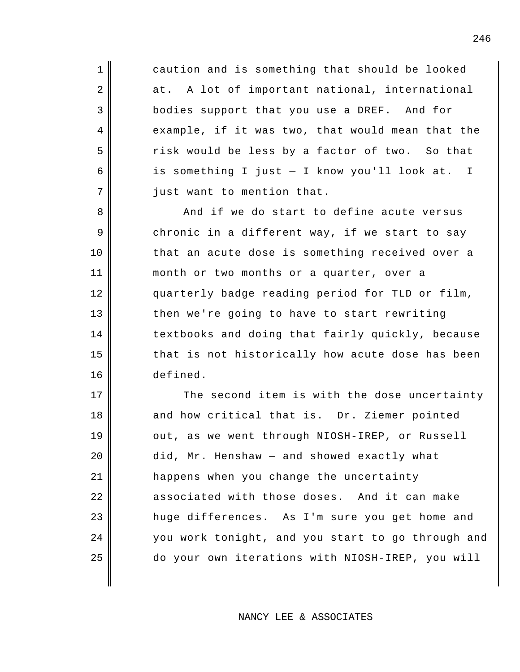$2$  at . 3 bodies support that you use a DREF. And for 5 risk would be less by a factor of two. So that 6 is something I just — I know you'll look at. I caution and is something that should be looked A lot of important national, international example, if it was two, that would mean that the just want to mention that.

1

4

7

8

9

10

11

12

13

14

15

16

17

19

20

21

24

25

And if we do start to define acute versus chronic in a different way, if we start to say that an acute dose is something received over a month or two months or a quarter, over a quarterly badge reading period for TLD or film, then we're going to have to start rewriting textbooks and doing that fairly quickly, because that is not historically how acute dose has been defined.

18 and how critical that is. Dr. Ziemer pointed 22 associated with those doses. And it can make 23 huge differences. As I'm sure you get home and The second item is with the dose uncertainty out, as we went through NIOSH-IREP, or Russell did, Mr. Henshaw — and showed exactly what happens when you change the uncertainty you work tonight, and you start to go through and do your own iterations with NIOSH-IREP, you will

NANCY LEE & ASSOCIATES

246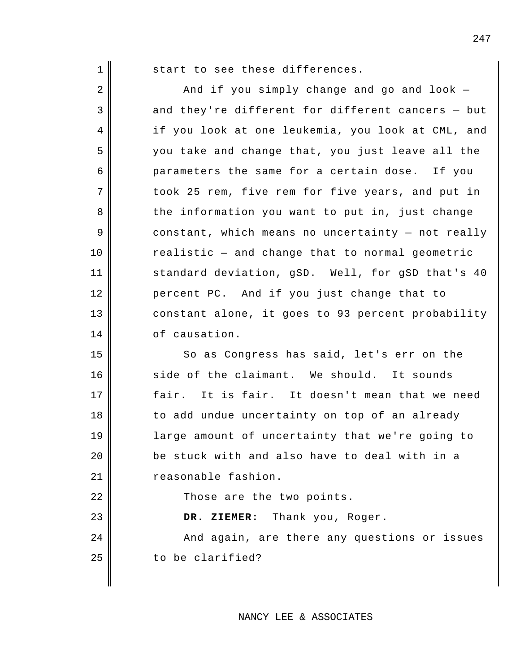2

3

4

5

7

8

9

10

13

14

15

18

19

20

21

22

24

25

1 Start to see these differences.

6 parameters the same for a certain dose. If you 11 standard deviation, gSD. Well, for gSD that's 40 12 percent PC. And if you just change that to And if you simply change and go and look and they're different for different cancers — but if you look at one leukemia, you look at CML, and you take and change that, you just leave all the took 25 rem, five rem for five years, and put in the information you want to put in, just change constant, which means no uncertainty — not really realistic — and change that to normal geometric constant alone, it goes to 93 percent probability of causation.

16 side of the claimant. We should. It sounds  $17$   $\parallel$  fair. So as Congress has said, let's err on the It is fair. It doesn't mean that we need to add undue uncertainty on top of an already large amount of uncertainty that we're going to be stuck with and also have to deal with in a reasonable fashion.

Those are the two points.

23 DR. ZIEMER: Thank you, Roger.

> And again, are there any questions or issues to be clarified?

 $\overline{\phantom{a}}$ 

 $\overline{\phantom{a}}$ 

 $\overline{\phantom{a}}$ 

 $\overline{\phantom{a}}$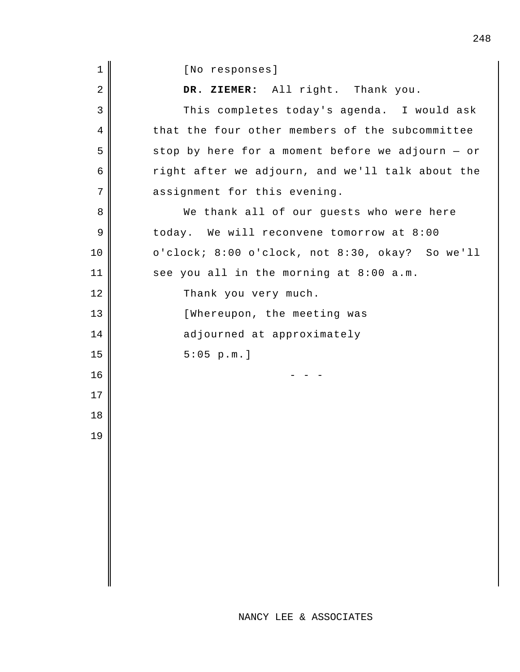| $\mathbf 1$    | [No responses]                                   |
|----------------|--------------------------------------------------|
| $\overline{2}$ | DR. ZIEMER: All right. Thank you.                |
| 3              | This completes today's agenda. I would ask       |
| 4              | that the four other members of the subcommittee  |
| 5              | stop by here for a moment before we adjourn - or |
| 6              | right after we adjourn, and we'll talk about the |
| 7              | assignment for this evening.                     |
| 8              | We thank all of our guests who were here         |
| 9              | today. We will reconvene tomorrow at 8:00        |
| 10             | o'clock; 8:00 o'clock, not 8:30, okay? So we'll  |
| 11             | see you all in the morning at 8:00 a.m.          |
| 12             | Thank you very much.                             |
| 13             | [Whereupon, the meeting was                      |
| 14             | adjourned at approximately                       |
| 15             | 5:05 p.m.                                        |
| 16             |                                                  |
| 17             |                                                  |
| 18             |                                                  |
| 19             |                                                  |
|                |                                                  |
|                |                                                  |
|                |                                                  |
|                |                                                  |
|                |                                                  |
|                |                                                  |
|                |                                                  |